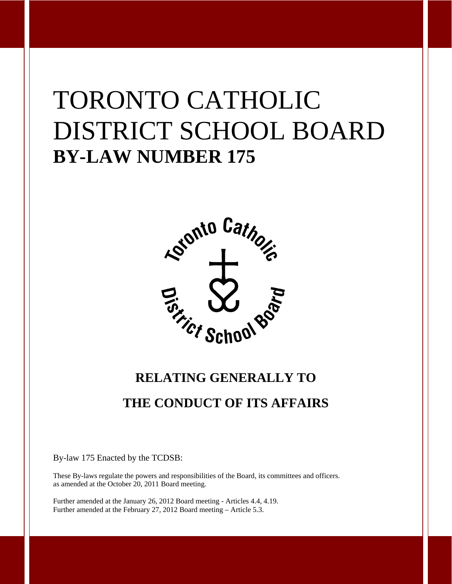# TORONTO CATHOLIC DISTRICT SCHOOL BOARD **BY-LAW NUMBER 175**



## **RELATING GENERALLY TO THE CONDUCT OF ITS AFFAIRS**

By-law 175 Enacted by the TCDSB:

These By-laws regulate the powers and responsibilities of the Board, its committees and officers. as amended at the October 20, 2011 Board meeting.

Further amended at the January 26, 2012 Board meeting - Articles 4.4, 4.19. Further amended at the February 27, 2012 Board meeting – Article 5.3.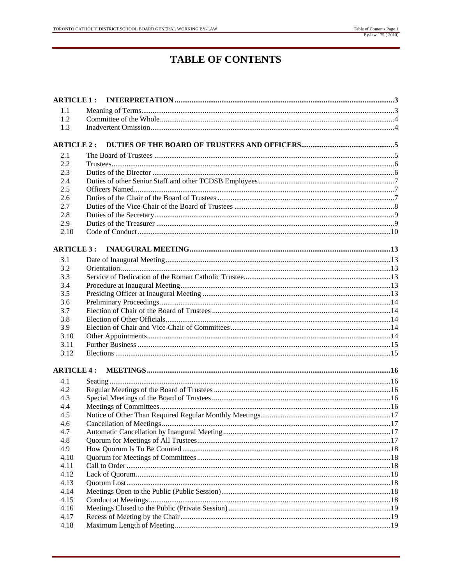## **TABLE OF CONTENTS**

| 1.1               |  |  |  |  |
|-------------------|--|--|--|--|
| 1.2               |  |  |  |  |
| 1.3               |  |  |  |  |
|                   |  |  |  |  |
| <b>ARTICLE 2:</b> |  |  |  |  |
| 2.1               |  |  |  |  |
| 2.2               |  |  |  |  |
| 2.3               |  |  |  |  |
| 2.4               |  |  |  |  |
| 2.5               |  |  |  |  |
| 2.6               |  |  |  |  |
| 2.7               |  |  |  |  |
| 2.8               |  |  |  |  |
| 2.9               |  |  |  |  |
| 2.10              |  |  |  |  |
|                   |  |  |  |  |
| <b>ARTICLE 3:</b> |  |  |  |  |
| 3.1               |  |  |  |  |
| 3.2               |  |  |  |  |
| 3.3               |  |  |  |  |
| 3.4               |  |  |  |  |
| 3.5               |  |  |  |  |
| 3.6               |  |  |  |  |
| 3.7               |  |  |  |  |
| 3.8               |  |  |  |  |
| 3.9               |  |  |  |  |
| 3.10              |  |  |  |  |
| 3.11              |  |  |  |  |
| 3.12              |  |  |  |  |
| <b>ARTICLE 4:</b> |  |  |  |  |
|                   |  |  |  |  |
| 4.1               |  |  |  |  |
| 4.2               |  |  |  |  |
| 4.3               |  |  |  |  |
| 4.4<br>4.5        |  |  |  |  |
| 4.6               |  |  |  |  |
| 4.7               |  |  |  |  |
| 4.8               |  |  |  |  |
| 4.9               |  |  |  |  |
| 4.10              |  |  |  |  |
| 4.11              |  |  |  |  |
| 4.12              |  |  |  |  |
| 4.13              |  |  |  |  |
| 4.14              |  |  |  |  |
| 4.15              |  |  |  |  |
| 4.16              |  |  |  |  |
| 4.17              |  |  |  |  |
| 4.18              |  |  |  |  |
|                   |  |  |  |  |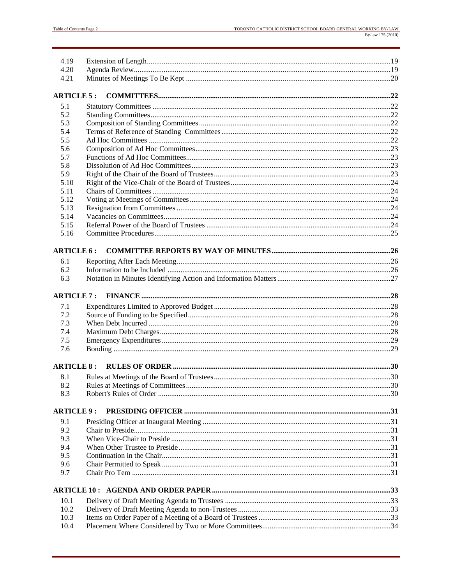| 4.19<br>4.20      |  |
|-------------------|--|
| 4.21              |  |
|                   |  |
| <b>ARTICLE 5:</b> |  |
| 5.1               |  |
| 5.2               |  |
| 5.3               |  |
| 5.4               |  |
| 5.5               |  |
| 5.6               |  |
| 5.7               |  |
| 5.8               |  |
| 5.9               |  |
| 5.10              |  |
| 5.11              |  |
| 5.12              |  |
| 5.13              |  |
| 5.14              |  |
| 5.15              |  |
| 5.16              |  |
|                   |  |
| <b>ARTICLE 6:</b> |  |
| 6.1               |  |
| 6.2               |  |
| 6.3               |  |
|                   |  |
| <b>ARTICLE 7:</b> |  |
| 7.1               |  |
| 7.2               |  |
| 7.3               |  |
| 7.4               |  |
| 7.5               |  |
| 7.6               |  |
|                   |  |
| <b>ARTICLE 8:</b> |  |
| 8.1               |  |
| 8.2               |  |
| 8.3               |  |
|                   |  |
| <b>ARTICLE 9:</b> |  |
| 9.1               |  |
|                   |  |
| 9.2               |  |
| 9.3               |  |
| 9.4               |  |
| 9.5               |  |
| 9.6               |  |
| 9.7               |  |
|                   |  |
|                   |  |
| 10.1              |  |
| 10.2              |  |
| 10.3<br>10.4      |  |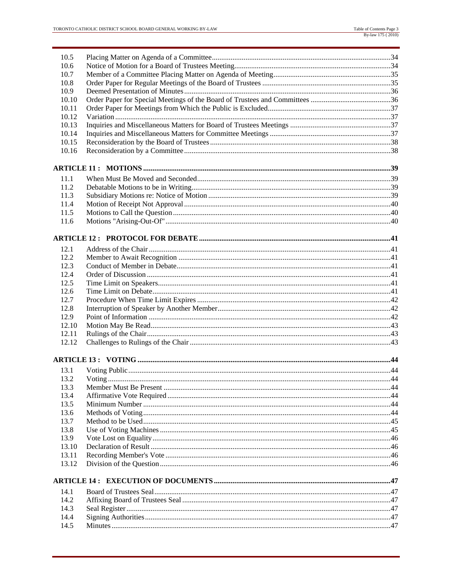| 10.5  |  |  |  |  |
|-------|--|--|--|--|
| 10.6  |  |  |  |  |
| 10.7  |  |  |  |  |
| 10.8  |  |  |  |  |
| 10.9  |  |  |  |  |
| 10.10 |  |  |  |  |
| 10.11 |  |  |  |  |
| 10.12 |  |  |  |  |
| 10.13 |  |  |  |  |
| 10.14 |  |  |  |  |
| 10.15 |  |  |  |  |
| 10.16 |  |  |  |  |
|       |  |  |  |  |
| 11.1  |  |  |  |  |
| 11.2  |  |  |  |  |
| 11.3  |  |  |  |  |
| 11.4  |  |  |  |  |
| 11.5  |  |  |  |  |
| 11.6  |  |  |  |  |
|       |  |  |  |  |
| 12.1  |  |  |  |  |
| 12.2  |  |  |  |  |
| 12.3  |  |  |  |  |
| 12.4  |  |  |  |  |
| 12.5  |  |  |  |  |
| 12.6  |  |  |  |  |
| 12.7  |  |  |  |  |
| 12.8  |  |  |  |  |
| 12.9  |  |  |  |  |
| 12.10 |  |  |  |  |
| 12.11 |  |  |  |  |
| 12.12 |  |  |  |  |
|       |  |  |  |  |
| 13.1  |  |  |  |  |
| 13.2  |  |  |  |  |
| 13.3  |  |  |  |  |
| 13.4  |  |  |  |  |
| 13.5  |  |  |  |  |
| 13.6  |  |  |  |  |
| 13.7  |  |  |  |  |
| 13.8  |  |  |  |  |
| 13.9  |  |  |  |  |
| 13.10 |  |  |  |  |
| 13.11 |  |  |  |  |
| 13.12 |  |  |  |  |
|       |  |  |  |  |
| 14.1  |  |  |  |  |
| 14.2  |  |  |  |  |
| 14.3  |  |  |  |  |
| 14.4  |  |  |  |  |
| 14.5  |  |  |  |  |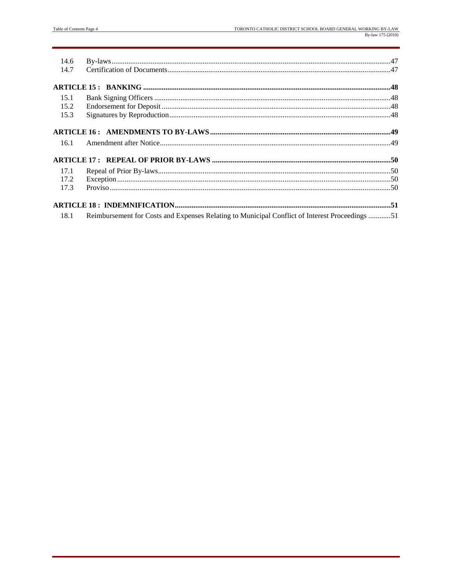| 14.6 |                                                                                                |  |
|------|------------------------------------------------------------------------------------------------|--|
| 14.7 |                                                                                                |  |
|      |                                                                                                |  |
| 15.1 |                                                                                                |  |
| 15.2 |                                                                                                |  |
| 15.3 |                                                                                                |  |
|      |                                                                                                |  |
| 16.1 |                                                                                                |  |
|      |                                                                                                |  |
| 17.1 |                                                                                                |  |
| 17.2 |                                                                                                |  |
| 17.3 |                                                                                                |  |
|      |                                                                                                |  |
| 18.1 | Reimbursement for Costs and Expenses Relating to Municipal Conflict of Interest Proceedings 51 |  |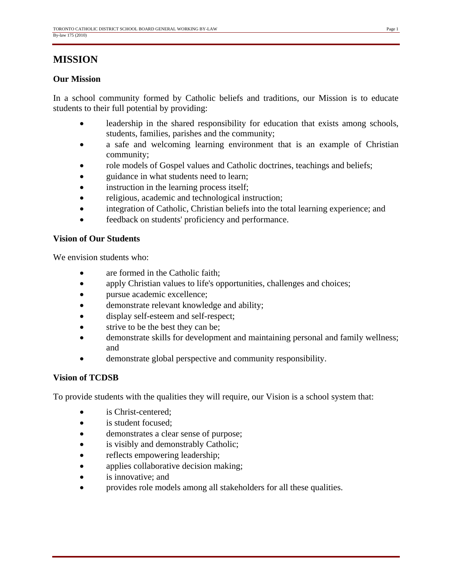## **MISSION**

#### **Our Mission**

In a school community formed by Catholic beliefs and traditions, our Mission is to educate students to their full potential by providing:

- leadership in the shared responsibility for education that exists among schools, students, families, parishes and the community;
- a safe and welcoming learning environment that is an example of Christian community;
- role models of Gospel values and Catholic doctrines, teachings and beliefs;
- guidance in what students need to learn;
- instruction in the learning process itself;
- religious, academic and technological instruction;
- integration of Catholic, Christian beliefs into the total learning experience; and
- feedback on students' proficiency and performance.

#### **Vision of Our Students**

We envision students who:

- are formed in the Catholic faith;
- apply Christian values to life's opportunities, challenges and choices;
- pursue academic excellence;
- demonstrate relevant knowledge and ability;
- display self-esteem and self-respect;
- strive to be the best they can be;
- demonstrate skills for development and maintaining personal and family wellness; and
- demonstrate global perspective and community responsibility.

#### **Vision of TCDSB**

To provide students with the qualities they will require, our Vision is a school system that:

- is Christ-centered:
- is student focused;
- demonstrates a clear sense of purpose;
- is visibly and demonstrably Catholic;
- reflects empowering leadership;
- applies collaborative decision making;
- is innovative; and
- provides role models among all stakeholders for all these qualities.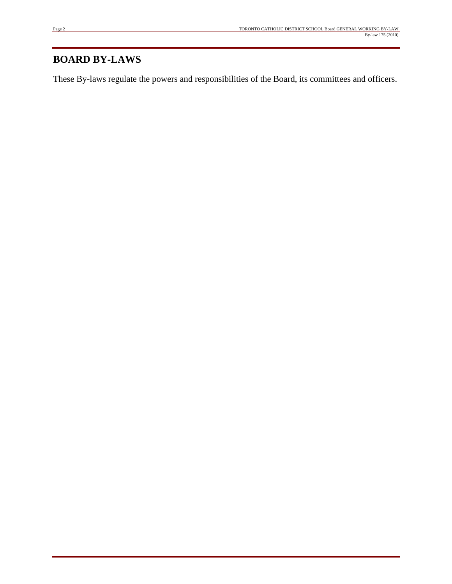## **BOARD BY-LAWS**

These By-laws regulate the powers and responsibilities of the Board, its committees and officers.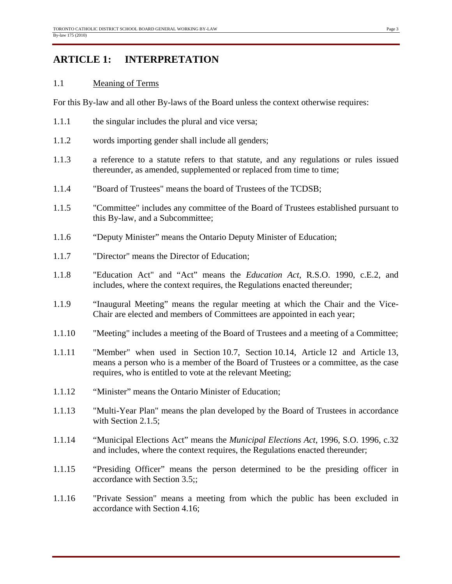## **ARTICLE 1: INTERPRETATION**

#### 1.1 Meaning of Terms

For this By-law and all other By-laws of the Board unless the context otherwise requires:

- 1.1.1 the singular includes the plural and vice versa;
- 1.1.2 words importing gender shall include all genders;
- 1.1.3 a reference to a statute refers to that statute, and any regulations or rules issued thereunder, as amended, supplemented or replaced from time to time;
- 1.1.4 "Board of Trustees" means the board of Trustees of the TCDSB;
- 1.1.5 "Committee" includes any committee of the Board of Trustees established pursuant to this By-law, and a Subcommittee;
- 1.1.6 "Deputy Minister" means the Ontario Deputy Minister of Education;
- 1.1.7 "Director" means the Director of Education;
- 1.1.8 "Education Act" and "Act" means the *Education Act*, R.S.O. 1990, c.E.2, and includes, where the context requires, the Regulations enacted thereunder;
- 1.1.9 "Inaugural Meeting" means the regular meeting at which the Chair and the Vice-Chair are elected and members of Committees are appointed in each year;
- 1.1.10 "Meeting" includes a meeting of the Board of Trustees and a meeting of a Committee;
- 1.1.11 "Member" when used in Section 10.7, Section 10.14, Article 12 and Article 13, means a person who is a member of the Board of Trustees or a committee, as the case requires, who is entitled to vote at the relevant Meeting;
- 1.1.12 "Minister" means the Ontario Minister of Education;
- 1.1.13 "Multi-Year Plan" means the plan developed by the Board of Trustees in accordance with Section 2.1.5;
- 1.1.14 "Municipal Elections Act" means the *Municipal Elections Act*, 1996, S.O. 1996, c.32 and includes, where the context requires, the Regulations enacted thereunder;
- 1.1.15 "Presiding Officer" means the person determined to be the presiding officer in accordance with Section 3.5;;
- 1.1.16 "Private Session" means a meeting from which the public has been excluded in accordance with Section 4.16;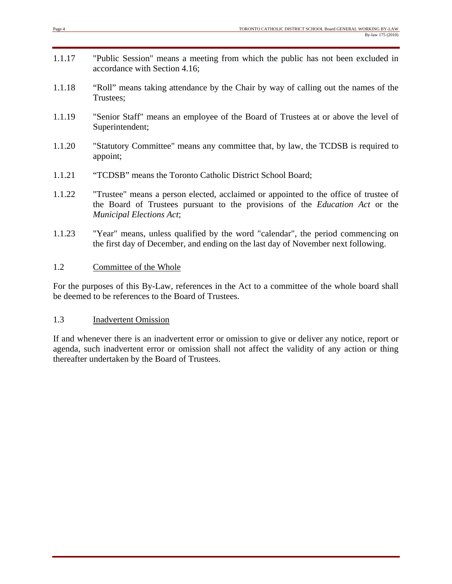- 1.1.17 "Public Session" means a meeting from which the public has not been excluded in accordance with Section 4.16;
- 1.1.18 "Roll" means taking attendance by the Chair by way of calling out the names of the Trustees;
- 1.1.19 "Senior Staff" means an employee of the Board of Trustees at or above the level of Superintendent;
- 1.1.20 "Statutory Committee" means any committee that, by law, the TCDSB is required to appoint;
- 1.1.21 "TCDSB" means the Toronto Catholic District School Board;
- 1.1.22 "Trustee" means a person elected, acclaimed or appointed to the office of trustee of the Board of Trustees pursuant to the provisions of the *Education Act* or the *Municipal Elections Act*;
- 1.1.23 "Year" means, unless qualified by the word "calendar", the period commencing on the first day of December, and ending on the last day of November next following.

#### 1.2 Committee of the Whole

For the purposes of this By-Law, references in the Act to a committee of the whole board shall be deemed to be references to the Board of Trustees.

#### 1.3 Inadvertent Omission

If and whenever there is an inadvertent error or omission to give or deliver any notice, report or agenda, such inadvertent error or omission shall not affect the validity of any action or thing thereafter undertaken by the Board of Trustees.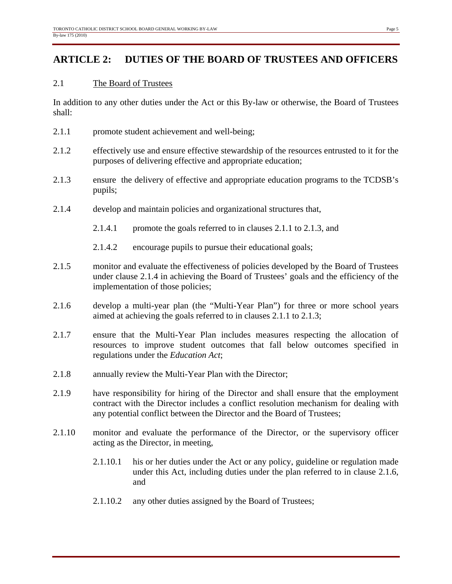## **ARTICLE 2: DUTIES OF THE BOARD OF TRUSTEES AND OFFICERS**

#### 2.1 The Board of Trustees

In addition to any other duties under the Act or this By-law or otherwise, the Board of Trustees shall:

- 2.1.1 promote student achievement and well-being;
- 2.1.2 effectively use and ensure effective stewardship of the resources entrusted to it for the purposes of delivering effective and appropriate education;
- 2.1.3 ensure the delivery of effective and appropriate education programs to the TCDSB's pupils;
- 2.1.4 develop and maintain policies and organizational structures that,
	- 2.1.4.1 promote the goals referred to in clauses 2.1.1 to 2.1.3, and
	- 2.1.4.2 encourage pupils to pursue their educational goals;
- 2.1.5 monitor and evaluate the effectiveness of policies developed by the Board of Trustees under clause 2.1.4 in achieving the Board of Trustees' goals and the efficiency of the implementation of those policies;
- 2.1.6 develop a multi-year plan (the "Multi-Year Plan") for three or more school years aimed at achieving the goals referred to in clauses 2.1.1 to 2.1.3;
- 2.1.7 ensure that the Multi-Year Plan includes measures respecting the allocation of resources to improve student outcomes that fall below outcomes specified in regulations under the *Education Act*;
- 2.1.8 annually review the Multi-Year Plan with the Director;
- 2.1.9 have responsibility for hiring of the Director and shall ensure that the employment contract with the Director includes a conflict resolution mechanism for dealing with any potential conflict between the Director and the Board of Trustees;
- 2.1.10 monitor and evaluate the performance of the Director, or the supervisory officer acting as the Director, in meeting,
	- 2.1.10.1 his or her duties under the Act or any policy, guideline or regulation made under this Act, including duties under the plan referred to in clause 2.1.6, and
	- 2.1.10.2 any other duties assigned by the Board of Trustees;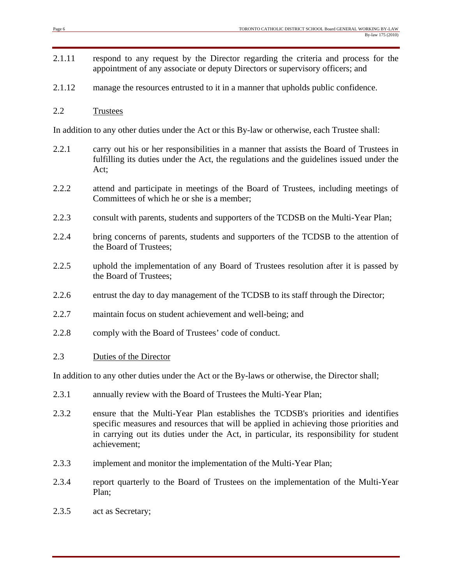- 2.1.11 respond to any request by the Director regarding the criteria and process for the appointment of any associate or deputy Directors or supervisory officers; and
- 2.1.12 manage the resources entrusted to it in a manner that upholds public confidence.
- 2.2 Trustees

In addition to any other duties under the Act or this By-law or otherwise, each Trustee shall:

- 2.2.1 carry out his or her responsibilities in a manner that assists the Board of Trustees in fulfilling its duties under the Act, the regulations and the guidelines issued under the Act;
- 2.2.2 attend and participate in meetings of the Board of Trustees, including meetings of Committees of which he or she is a member;
- 2.2.3 consult with parents, students and supporters of the TCDSB on the Multi-Year Plan;
- 2.2.4 bring concerns of parents, students and supporters of the TCDSB to the attention of the Board of Trustees;
- 2.2.5 uphold the implementation of any Board of Trustees resolution after it is passed by the Board of Trustees;
- 2.2.6 entrust the day to day management of the TCDSB to its staff through the Director;
- 2.2.7 maintain focus on student achievement and well-being; and
- 2.2.8 comply with the Board of Trustees' code of conduct.

#### 2.3 Duties of the Director

In addition to any other duties under the Act or the By-laws or otherwise, the Director shall;

- 2.3.1 annually review with the Board of Trustees the Multi-Year Plan;
- 2.3.2 ensure that the Multi-Year Plan establishes the TCDSB's priorities and identifies specific measures and resources that will be applied in achieving those priorities and in carrying out its duties under the Act, in particular, its responsibility for student achievement;
- 2.3.3 implement and monitor the implementation of the Multi-Year Plan;
- 2.3.4 report quarterly to the Board of Trustees on the implementation of the Multi-Year Plan;
- 2.3.5 act as Secretary;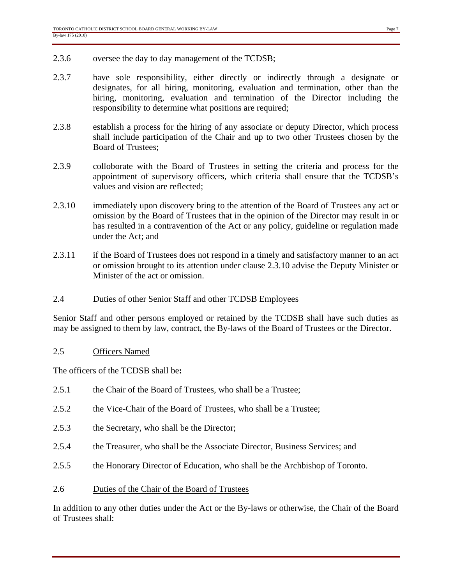- 2.3.6 oversee the day to day management of the TCDSB;
- 2.3.7 have sole responsibility, either directly or indirectly through a designate or designates, for all hiring, monitoring, evaluation and termination, other than the hiring, monitoring, evaluation and termination of the Director including the responsibility to determine what positions are required;
- 2.3.8 establish a process for the hiring of any associate or deputy Director, which process shall include participation of the Chair and up to two other Trustees chosen by the Board of Trustees;
- 2.3.9 colloborate with the Board of Trustees in setting the criteria and process for the appointment of supervisory officers, which criteria shall ensure that the TCDSB's values and vision are reflected;
- 2.3.10 immediately upon discovery bring to the attention of the Board of Trustees any act or omission by the Board of Trustees that in the opinion of the Director may result in or has resulted in a contravention of the Act or any policy, guideline or regulation made under the Act; and
- 2.3.11 if the Board of Trustees does not respond in a timely and satisfactory manner to an act or omission brought to its attention under clause 2.3.10 advise the Deputy Minister or Minister of the act or omission.

#### 2.4 Duties of other Senior Staff and other TCDSB Employees

Senior Staff and other persons employed or retained by the TCDSB shall have such duties as may be assigned to them by law, contract, the By-laws of the Board of Trustees or the Director.

#### 2.5 Officers Named

The officers of the TCDSB shall be**:** 

- 2.5.1 the Chair of the Board of Trustees, who shall be a Trustee;
- 2.5.2 the Vice-Chair of the Board of Trustees, who shall be a Trustee:
- 2.5.3 the Secretary, who shall be the Director;
- 2.5.4 the Treasurer, who shall be the Associate Director, Business Services; and
- 2.5.5 the Honorary Director of Education, who shall be the Archbishop of Toronto.
- 2.6 Duties of the Chair of the Board of Trustees

In addition to any other duties under the Act or the By-laws or otherwise, the Chair of the Board of Trustees shall: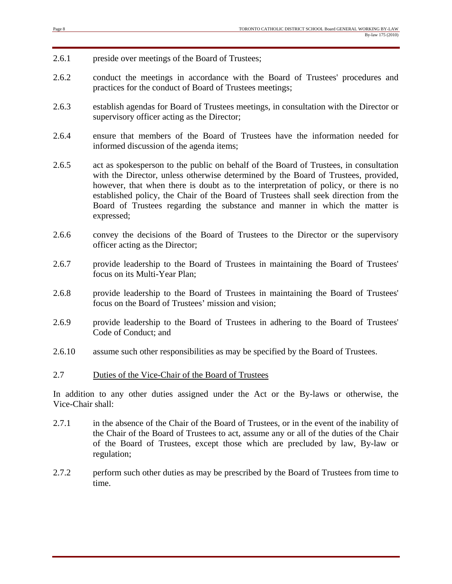- 2.6.1 preside over meetings of the Board of Trustees;
- 2.6.2 conduct the meetings in accordance with the Board of Trustees' procedures and practices for the conduct of Board of Trustees meetings;
- 2.6.3 establish agendas for Board of Trustees meetings, in consultation with the Director or supervisory officer acting as the Director;
- 2.6.4 ensure that members of the Board of Trustees have the information needed for informed discussion of the agenda items;
- 2.6.5 act as spokesperson to the public on behalf of the Board of Trustees, in consultation with the Director, unless otherwise determined by the Board of Trustees, provided, however, that when there is doubt as to the interpretation of policy, or there is no established policy, the Chair of the Board of Trustees shall seek direction from the Board of Trustees regarding the substance and manner in which the matter is expressed;
- 2.6.6 convey the decisions of the Board of Trustees to the Director or the supervisory officer acting as the Director;
- 2.6.7 provide leadership to the Board of Trustees in maintaining the Board of Trustees' focus on its Multi-Year Plan;
- 2.6.8 provide leadership to the Board of Trustees in maintaining the Board of Trustees' focus on the Board of Trustees' mission and vision;
- 2.6.9 provide leadership to the Board of Trustees in adhering to the Board of Trustees' Code of Conduct; and
- 2.6.10 assume such other responsibilities as may be specified by the Board of Trustees.

#### 2.7 Duties of the Vice-Chair of the Board of Trustees

In addition to any other duties assigned under the Act or the By-laws or otherwise, the Vice-Chair shall:

- 2.7.1 in the absence of the Chair of the Board of Trustees, or in the event of the inability of the Chair of the Board of Trustees to act, assume any or all of the duties of the Chair of the Board of Trustees, except those which are precluded by law, By-law or regulation;
- 2.7.2 perform such other duties as may be prescribed by the Board of Trustees from time to time.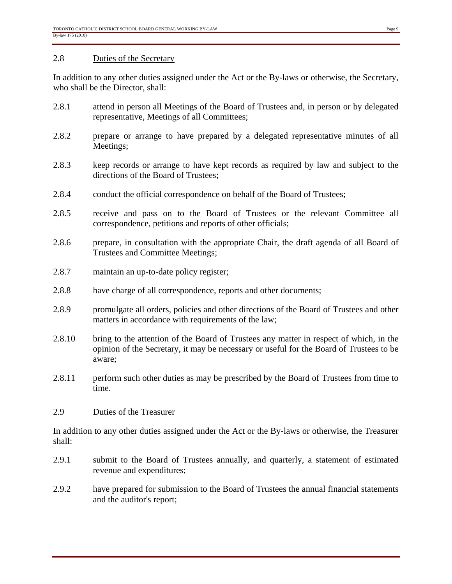#### 2.8 Duties of the Secretary

In addition to any other duties assigned under the Act or the By-laws or otherwise, the Secretary, who shall be the Director, shall:

- 2.8.1 attend in person all Meetings of the Board of Trustees and, in person or by delegated representative, Meetings of all Committees;
- 2.8.2 prepare or arrange to have prepared by a delegated representative minutes of all Meetings;
- 2.8.3 keep records or arrange to have kept records as required by law and subject to the directions of the Board of Trustees;
- 2.8.4 conduct the official correspondence on behalf of the Board of Trustees;
- 2.8.5 receive and pass on to the Board of Trustees or the relevant Committee all correspondence, petitions and reports of other officials;
- 2.8.6 prepare, in consultation with the appropriate Chair, the draft agenda of all Board of Trustees and Committee Meetings;
- 2.8.7 maintain an up-to-date policy register;
- 2.8.8 have charge of all correspondence, reports and other documents;
- 2.8.9 promulgate all orders, policies and other directions of the Board of Trustees and other matters in accordance with requirements of the law;
- 2.8.10 bring to the attention of the Board of Trustees any matter in respect of which, in the opinion of the Secretary, it may be necessary or useful for the Board of Trustees to be aware;
- 2.8.11 perform such other duties as may be prescribed by the Board of Trustees from time to time.

#### 2.9 Duties of the Treasurer

In addition to any other duties assigned under the Act or the By-laws or otherwise, the Treasurer shall:

- 2.9.1 submit to the Board of Trustees annually, and quarterly, a statement of estimated revenue and expenditures;
- 2.9.2 have prepared for submission to the Board of Trustees the annual financial statements and the auditor's report;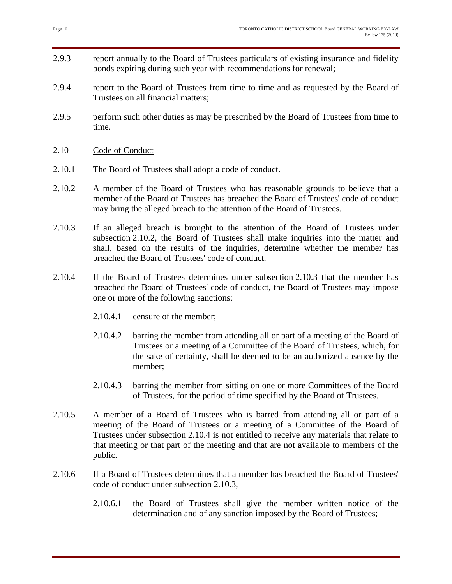- 2.9.3 report annually to the Board of Trustees particulars of existing insurance and fidelity bonds expiring during such year with recommendations for renewal;
- 2.9.4 report to the Board of Trustees from time to time and as requested by the Board of Trustees on all financial matters;
- 2.9.5 perform such other duties as may be prescribed by the Board of Trustees from time to time.
- 2.10 Code of Conduct
- 2.10.1 The Board of Trustees shall adopt a code of conduct.
- 2.10.2 A member of the Board of Trustees who has reasonable grounds to believe that a member of the Board of Trustees has breached the Board of Trustees' code of conduct may bring the alleged breach to the attention of the Board of Trustees.
- 2.10.3 If an alleged breach is brought to the attention of the Board of Trustees under subsection 2.10.2, the Board of Trustees shall make inquiries into the matter and shall, based on the results of the inquiries, determine whether the member has breached the Board of Trustees' code of conduct.
- 2.10.4 If the Board of Trustees determines under subsection 2.10.3 that the member has breached the Board of Trustees' code of conduct, the Board of Trustees may impose one or more of the following sanctions:
	- 2.10.4.1 censure of the member;
	- 2.10.4.2 barring the member from attending all or part of a meeting of the Board of Trustees or a meeting of a Committee of the Board of Trustees, which, for the sake of certainty, shall be deemed to be an authorized absence by the member;
	- 2.10.4.3 barring the member from sitting on one or more Committees of the Board of Trustees, for the period of time specified by the Board of Trustees.
- 2.10.5 A member of a Board of Trustees who is barred from attending all or part of a meeting of the Board of Trustees or a meeting of a Committee of the Board of Trustees under subsection 2.10.4 is not entitled to receive any materials that relate to that meeting or that part of the meeting and that are not available to members of the public.
- 2.10.6 If a Board of Trustees determines that a member has breached the Board of Trustees' code of conduct under subsection 2.10.3,
	- 2.10.6.1 the Board of Trustees shall give the member written notice of the determination and of any sanction imposed by the Board of Trustees;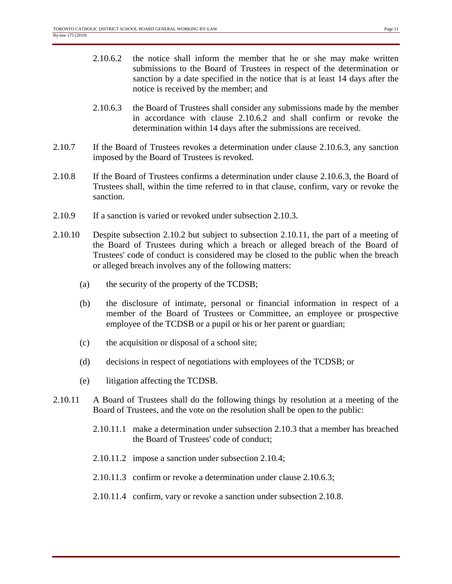- 2.10.6.3 the Board of Trustees shall consider any submissions made by the member in accordance with clause 2.10.6.2 and shall confirm or revoke the determination within 14 days after the submissions are received.
- 2.10.7 If the Board of Trustees revokes a determination under clause 2.10.6.3, any sanction imposed by the Board of Trustees is revoked.
- 2.10.8 If the Board of Trustees confirms a determination under clause 2.10.6.3, the Board of Trustees shall, within the time referred to in that clause, confirm, vary or revoke the sanction.
- 2.10.9 If a sanction is varied or revoked under subsection 2.10.3.
- 2.10.10 Despite subsection 2.10.2 but subject to subsection 2.10.11, the part of a meeting of the Board of Trustees during which a breach or alleged breach of the Board of Trustees' code of conduct is considered may be closed to the public when the breach or alleged breach involves any of the following matters:
	- (a) the security of the property of the TCDSB;
	- (b) the disclosure of intimate, personal or financial information in respect of a member of the Board of Trustees or Committee, an employee or prospective employee of the TCDSB or a pupil or his or her parent or guardian;
	- (c) the acquisition or disposal of a school site;
	- (d) decisions in respect of negotiations with employees of the TCDSB; or
	- (e) litigation affecting the TCDSB.
- 2.10.11 A Board of Trustees shall do the following things by resolution at a meeting of the Board of Trustees, and the vote on the resolution shall be open to the public:
	- 2.10.11.1 make a determination under subsection 2.10.3 that a member has breached the Board of Trustees' code of conduct;
	- 2.10.11.2 impose a sanction under subsection 2.10.4;
	- 2.10.11.3 confirm or revoke a determination under clause 2.10.6.3;
	- 2.10.11.4 confirm, vary or revoke a sanction under subsection 2.10.8.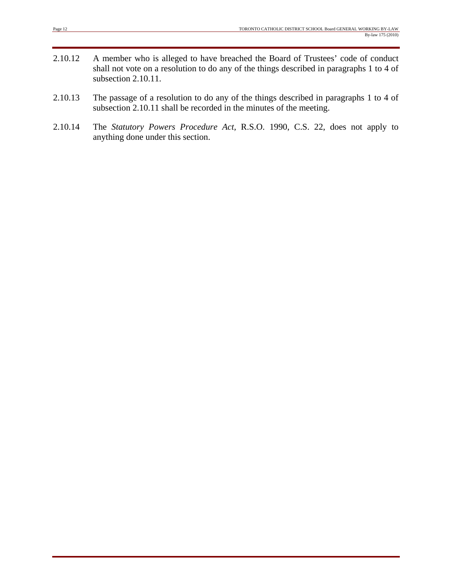- 2.10.12 A member who is alleged to have breached the Board of Trustees' code of conduct shall not vote on a resolution to do any of the things described in paragraphs 1 to 4 of subsection 2.10.11.
- 2.10.13 The passage of a resolution to do any of the things described in paragraphs 1 to 4 of subsection 2.10.11 shall be recorded in the minutes of the meeting.
- 2.10.14 The *Statutory Powers Procedure Act,* R.S.O. 1990, C.S. 22, does not apply to anything done under this section.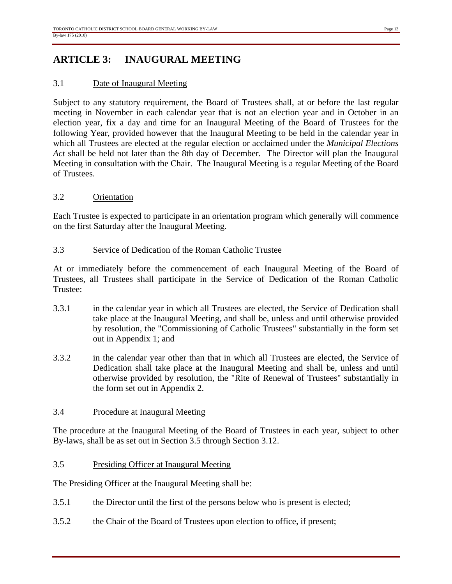## **ARTICLE 3: INAUGURAL MEETING**

#### 3.1 Date of Inaugural Meeting

Subject to any statutory requirement, the Board of Trustees shall, at or before the last regular meeting in November in each calendar year that is not an election year and in October in an election year, fix a day and time for an Inaugural Meeting of the Board of Trustees for the following Year, provided however that the Inaugural Meeting to be held in the calendar year in which all Trustees are elected at the regular election or acclaimed under the *Municipal Elections Act* shall be held not later than the 8th day of December. The Director will plan the Inaugural Meeting in consultation with the Chair. The Inaugural Meeting is a regular Meeting of the Board of Trustees.

#### 3.2 Orientation

Each Trustee is expected to participate in an orientation program which generally will commence on the first Saturday after the Inaugural Meeting.

#### 3.3 Service of Dedication of the Roman Catholic Trustee

At or immediately before the commencement of each Inaugural Meeting of the Board of Trustees, all Trustees shall participate in the Service of Dedication of the Roman Catholic Trustee:

- 3.3.1 in the calendar year in which all Trustees are elected, the Service of Dedication shall take place at the Inaugural Meeting, and shall be, unless and until otherwise provided by resolution, the "Commissioning of Catholic Trustees" substantially in the form set out in Appendix 1; and
- 3.3.2 in the calendar year other than that in which all Trustees are elected, the Service of Dedication shall take place at the Inaugural Meeting and shall be, unless and until otherwise provided by resolution, the "Rite of Renewal of Trustees" substantially in the form set out in Appendix 2.

#### 3.4 Procedure at Inaugural Meeting

The procedure at the Inaugural Meeting of the Board of Trustees in each year, subject to other By-laws, shall be as set out in Section 3.5 through Section 3.12.

#### 3.5 Presiding Officer at Inaugural Meeting

The Presiding Officer at the Inaugural Meeting shall be:

- 3.5.1 the Director until the first of the persons below who is present is elected;
- 3.5.2 the Chair of the Board of Trustees upon election to office, if present;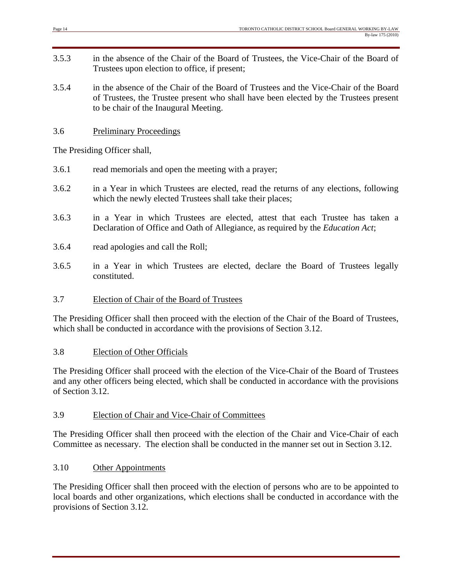- 3.5.3 in the absence of the Chair of the Board of Trustees, the Vice-Chair of the Board of Trustees upon election to office, if present;
- 3.5.4 in the absence of the Chair of the Board of Trustees and the Vice-Chair of the Board of Trustees, the Trustee present who shall have been elected by the Trustees present to be chair of the Inaugural Meeting.
- 3.6 Preliminary Proceedings

The Presiding Officer shall,

- 3.6.1 read memorials and open the meeting with a prayer;
- 3.6.2 in a Year in which Trustees are elected, read the returns of any elections, following which the newly elected Trustees shall take their places;
- 3.6.3 in a Year in which Trustees are elected, attest that each Trustee has taken a Declaration of Office and Oath of Allegiance, as required by the *Education Act*;
- 3.6.4 read apologies and call the Roll;
- 3.6.5 in a Year in which Trustees are elected, declare the Board of Trustees legally constituted.

#### 3.7 Election of Chair of the Board of Trustees

The Presiding Officer shall then proceed with the election of the Chair of the Board of Trustees, which shall be conducted in accordance with the provisions of Section 3.12.

#### 3.8 Election of Other Officials

The Presiding Officer shall proceed with the election of the Vice-Chair of the Board of Trustees and any other officers being elected, which shall be conducted in accordance with the provisions of Section 3.12.

#### 3.9 Election of Chair and Vice-Chair of Committees

The Presiding Officer shall then proceed with the election of the Chair and Vice-Chair of each Committee as necessary. The election shall be conducted in the manner set out in Section 3.12.

#### 3.10 Other Appointments

The Presiding Officer shall then proceed with the election of persons who are to be appointed to local boards and other organizations, which elections shall be conducted in accordance with the provisions of Section 3.12.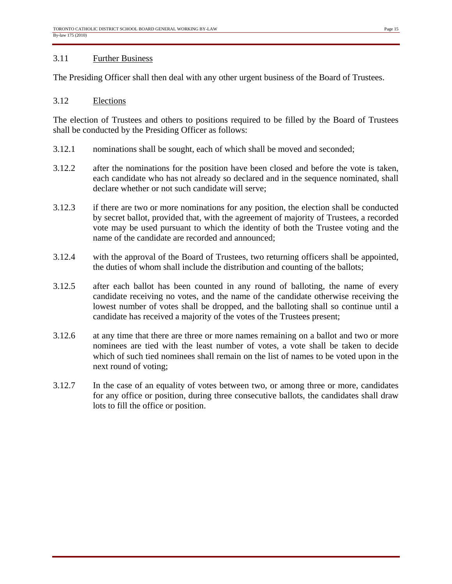#### 3.11 Further Business

The Presiding Officer shall then deal with any other urgent business of the Board of Trustees.

#### 3.12 Elections

The election of Trustees and others to positions required to be filled by the Board of Trustees shall be conducted by the Presiding Officer as follows:

- 3.12.1 nominations shall be sought, each of which shall be moved and seconded;
- 3.12.2 after the nominations for the position have been closed and before the vote is taken, each candidate who has not already so declared and in the sequence nominated, shall declare whether or not such candidate will serve;
- 3.12.3 if there are two or more nominations for any position, the election shall be conducted by secret ballot, provided that, with the agreement of majority of Trustees, a recorded vote may be used pursuant to which the identity of both the Trustee voting and the name of the candidate are recorded and announced;
- 3.12.4 with the approval of the Board of Trustees, two returning officers shall be appointed, the duties of whom shall include the distribution and counting of the ballots;
- 3.12.5 after each ballot has been counted in any round of balloting, the name of every candidate receiving no votes, and the name of the candidate otherwise receiving the lowest number of votes shall be dropped, and the balloting shall so continue until a candidate has received a majority of the votes of the Trustees present;
- 3.12.6 at any time that there are three or more names remaining on a ballot and two or more nominees are tied with the least number of votes, a vote shall be taken to decide which of such tied nominees shall remain on the list of names to be voted upon in the next round of voting;
- 3.12.7 In the case of an equality of votes between two, or among three or more, candidates for any office or position, during three consecutive ballots, the candidates shall draw lots to fill the office or position.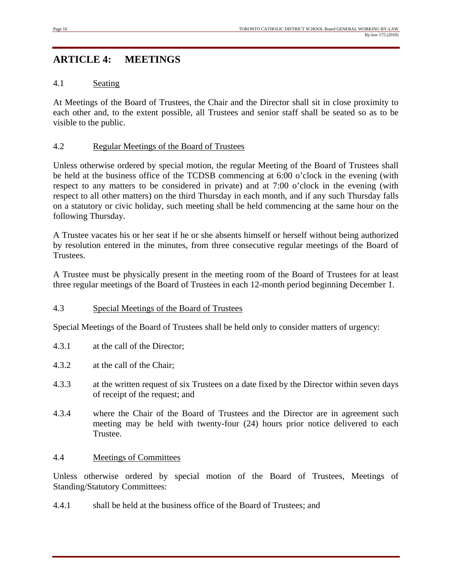## **ARTICLE 4: MEETINGS**

#### 4.1 Seating

At Meetings of the Board of Trustees, the Chair and the Director shall sit in close proximity to each other and, to the extent possible, all Trustees and senior staff shall be seated so as to be visible to the public.

#### 4.2 Regular Meetings of the Board of Trustees

Unless otherwise ordered by special motion, the regular Meeting of the Board of Trustees shall be held at the business office of the TCDSB commencing at 6:00 o'clock in the evening (with respect to any matters to be considered in private) and at 7:00 o'clock in the evening (with respect to all other matters) on the third Thursday in each month, and if any such Thursday falls on a statutory or civic holiday, such meeting shall be held commencing at the same hour on the following Thursday.

A Trustee vacates his or her seat if he or she absents himself or herself without being authorized by resolution entered in the minutes, from three consecutive regular meetings of the Board of Trustees.

A Trustee must be physically present in the meeting room of the Board of Trustees for at least three regular meetings of the Board of Trustees in each 12-month period beginning December 1.

#### 4.3 Special Meetings of the Board of Trustees

Special Meetings of the Board of Trustees shall be held only to consider matters of urgency:

- 4.3.1 at the call of the Director;
- 4.3.2 at the call of the Chair;
- 4.3.3 at the written request of six Trustees on a date fixed by the Director within seven days of receipt of the request; and
- 4.3.4 where the Chair of the Board of Trustees and the Director are in agreement such meeting may be held with twenty-four (24) hours prior notice delivered to each Trustee.

#### 4.4 Meetings of Committees

Unless otherwise ordered by special motion of the Board of Trustees, Meetings of Standing/Statutory Committees:

4.4.1 shall be held at the business office of the Board of Trustees; and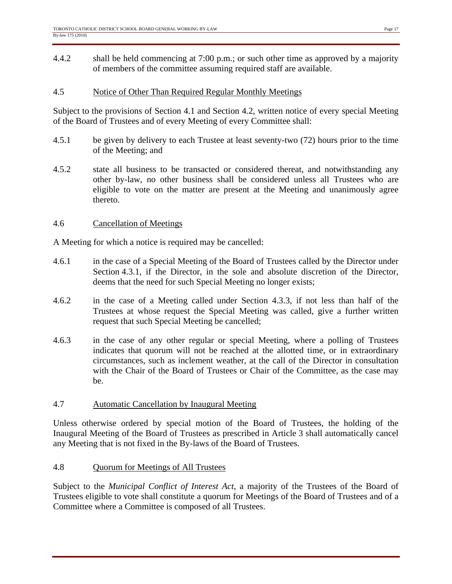4.4.2 shall be held commencing at 7:00 p.m.; or such other time as approved by a majority of members of the committee assuming required staff are available.

#### 4.5 Notice of Other Than Required Regular Monthly Meetings

Subject to the provisions of Section 4.1 and Section 4.2, written notice of every special Meeting of the Board of Trustees and of every Meeting of every Committee shall:

- 4.5.1 be given by delivery to each Trustee at least seventy-two (72) hours prior to the time of the Meeting; and
- 4.5.2 state all business to be transacted or considered thereat, and notwithstanding any other by-law, no other business shall be considered unless all Trustees who are eligible to vote on the matter are present at the Meeting and unanimously agree thereto.

#### 4.6 Cancellation of Meetings

A Meeting for which a notice is required may be cancelled:

- 4.6.1 in the case of a Special Meeting of the Board of Trustees called by the Director under Section 4.3.1, if the Director, in the sole and absolute discretion of the Director, deems that the need for such Special Meeting no longer exists;
- 4.6.2 in the case of a Meeting called under Section 4.3.3, if not less than half of the Trustees at whose request the Special Meeting was called, give a further written request that such Special Meeting be cancelled;
- 4.6.3 in the case of any other regular or special Meeting, where a polling of Trustees indicates that quorum will not be reached at the allotted time, or in extraordinary circumstances, such as inclement weather, at the call of the Director in consultation with the Chair of the Board of Trustees or Chair of the Committee, as the case may be.

#### 4.7 Automatic Cancellation by Inaugural Meeting

Unless otherwise ordered by special motion of the Board of Trustees, the holding of the Inaugural Meeting of the Board of Trustees as prescribed in Article 3 shall automatically cancel any Meeting that is not fixed in the By-laws of the Board of Trustees.

#### 4.8 Quorum for Meetings of All Trustees

Subject to the *Municipal Conflict of Interest Act*, a majority of the Trustees of the Board of Trustees eligible to vote shall constitute a quorum for Meetings of the Board of Trustees and of a Committee where a Committee is composed of all Trustees.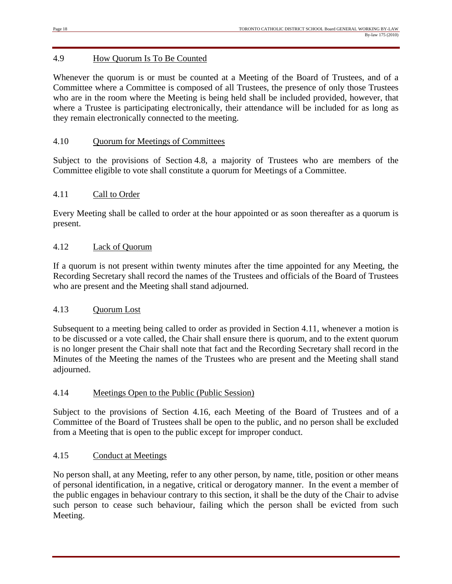#### 4.9 How Quorum Is To Be Counted

Whenever the quorum is or must be counted at a Meeting of the Board of Trustees, and of a Committee where a Committee is composed of all Trustees, the presence of only those Trustees who are in the room where the Meeting is being held shall be included provided, however, that where a Trustee is participating electronically, their attendance will be included for as long as they remain electronically connected to the meeting.

#### 4.10 Quorum for Meetings of Committees

Subject to the provisions of Section 4.8, a majority of Trustees who are members of the Committee eligible to vote shall constitute a quorum for Meetings of a Committee.

#### 4.11 Call to Order

Every Meeting shall be called to order at the hour appointed or as soon thereafter as a quorum is present.

#### 4.12 Lack of Quorum

If a quorum is not present within twenty minutes after the time appointed for any Meeting, the Recording Secretary shall record the names of the Trustees and officials of the Board of Trustees who are present and the Meeting shall stand adjourned.

#### 4.13 Quorum Lost

Subsequent to a meeting being called to order as provided in Section 4.11, whenever a motion is to be discussed or a vote called, the Chair shall ensure there is quorum, and to the extent quorum is no longer present the Chair shall note that fact and the Recording Secretary shall record in the Minutes of the Meeting the names of the Trustees who are present and the Meeting shall stand adjourned.

#### 4.14 Meetings Open to the Public (Public Session)

Subject to the provisions of Section 4.16, each Meeting of the Board of Trustees and of a Committee of the Board of Trustees shall be open to the public, and no person shall be excluded from a Meeting that is open to the public except for improper conduct.

#### 4.15 Conduct at Meetings

No person shall, at any Meeting, refer to any other person, by name, title, position or other means of personal identification, in a negative, critical or derogatory manner. In the event a member of the public engages in behaviour contrary to this section, it shall be the duty of the Chair to advise such person to cease such behaviour, failing which the person shall be evicted from such Meeting.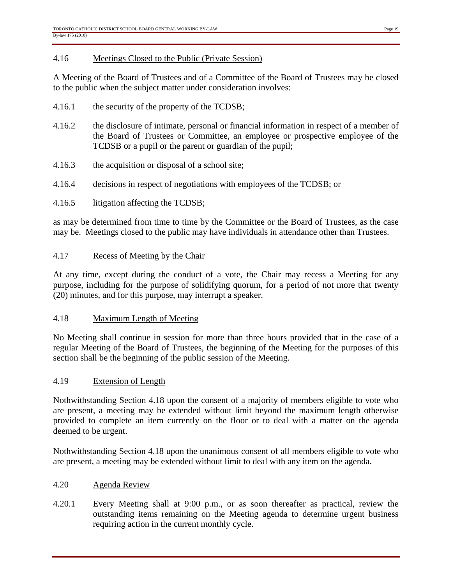#### 4.16 Meetings Closed to the Public (Private Session)

A Meeting of the Board of Trustees and of a Committee of the Board of Trustees may be closed to the public when the subject matter under consideration involves:

- 4.16.1 the security of the property of the TCDSB;
- 4.16.2 the disclosure of intimate, personal or financial information in respect of a member of the Board of Trustees or Committee, an employee or prospective employee of the TCDSB or a pupil or the parent or guardian of the pupil;
- 4.16.3 the acquisition or disposal of a school site;
- 4.16.4 decisions in respect of negotiations with employees of the TCDSB; or
- 4.16.5 litigation affecting the TCDSB;

as may be determined from time to time by the Committee or the Board of Trustees, as the case may be. Meetings closed to the public may have individuals in attendance other than Trustees.

#### 4.17 Recess of Meeting by the Chair

At any time, except during the conduct of a vote, the Chair may recess a Meeting for any purpose, including for the purpose of solidifying quorum, for a period of not more that twenty (20) minutes, and for this purpose, may interrupt a speaker.

#### 4.18 Maximum Length of Meeting

No Meeting shall continue in session for more than three hours provided that in the case of a regular Meeting of the Board of Trustees, the beginning of the Meeting for the purposes of this section shall be the beginning of the public session of the Meeting.

#### 4.19 Extension of Length

Nothwithstanding Section 4.18 upon the consent of a majority of members eligible to vote who are present, a meeting may be extended without limit beyond the maximum length otherwise provided to complete an item currently on the floor or to deal with a matter on the agenda deemed to be urgent.

Nothwithstanding Section 4.18 upon the unanimous consent of all members eligible to vote who are present, a meeting may be extended without limit to deal with any item on the agenda.

#### 4.20 Agenda Review

4.20.1 Every Meeting shall at 9:00 p.m., or as soon thereafter as practical, review the outstanding items remaining on the Meeting agenda to determine urgent business requiring action in the current monthly cycle.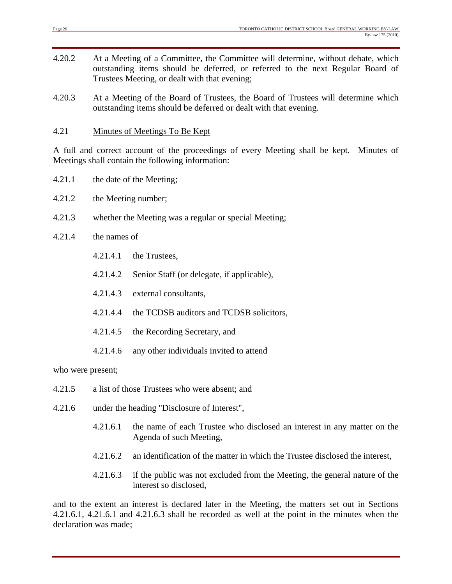- 4.20.2 At a Meeting of a Committee, the Committee will determine, without debate, which outstanding items should be deferred, or referred to the next Regular Board of Trustees Meeting, or dealt with that evening;
- 4.20.3 At a Meeting of the Board of Trustees, the Board of Trustees will determine which outstanding items should be deferred or dealt with that evening.

#### 4.21 Minutes of Meetings To Be Kept

A full and correct account of the proceedings of every Meeting shall be kept. Minutes of Meetings shall contain the following information:

- 4.21.1 the date of the Meeting;
- 4.21.2 the Meeting number;
- 4.21.3 whether the Meeting was a regular or special Meeting;
- 4.21.4 the names of
	- 4.21.4.1 the Trustees,
	- 4.21.4.2 Senior Staff (or delegate, if applicable),
	- 4.21.4.3 external consultants,
	- 4.21.4.4 the TCDSB auditors and TCDSB solicitors,
	- 4.21.4.5 the Recording Secretary, and
	- 4.21.4.6 any other individuals invited to attend

who were present;

- 4.21.5 a list of those Trustees who were absent; and
- 4.21.6 under the heading "Disclosure of Interest",
	- 4.21.6.1 the name of each Trustee who disclosed an interest in any matter on the Agenda of such Meeting,
	- 4.21.6.2 an identification of the matter in which the Trustee disclosed the interest,
	- 4.21.6.3 if the public was not excluded from the Meeting, the general nature of the interest so disclosed,

and to the extent an interest is declared later in the Meeting, the matters set out in Sections 4.21.6.1, 4.21.6.1 and 4.21.6.3 shall be recorded as well at the point in the minutes when the declaration was made;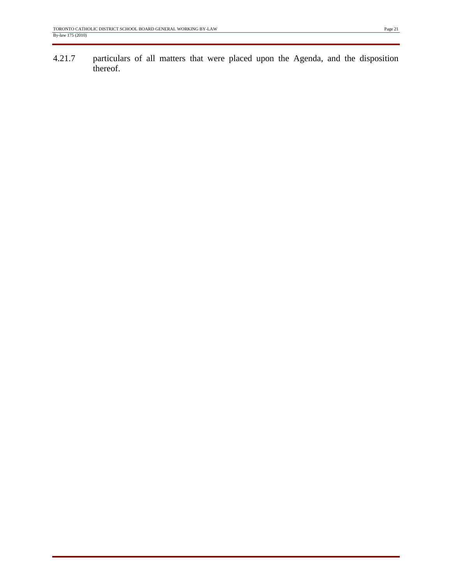4.21.7 particulars of all matters that were placed upon the Agenda, and the disposition thereof.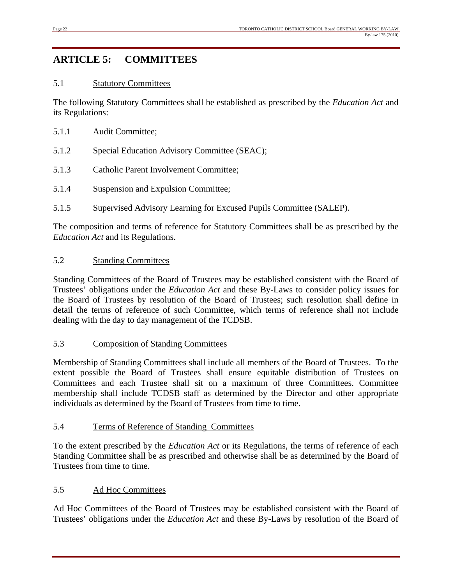## **ARTICLE 5: COMMITTEES**

#### 5.1 Statutory Committees

The following Statutory Committees shall be established as prescribed by the *Education Act* and its Regulations:

- 5.1.1 Audit Committee;
- 5.1.2 Special Education Advisory Committee (SEAC);
- 5.1.3 Catholic Parent Involvement Committee;
- 5.1.4 Suspension and Expulsion Committee;
- 5.1.5 Supervised Advisory Learning for Excused Pupils Committee (SALEP).

The composition and terms of reference for Statutory Committees shall be as prescribed by the *Education Act* and its Regulations.

#### 5.2 Standing Committees

Standing Committees of the Board of Trustees may be established consistent with the Board of Trustees' obligations under the *Education Act* and these By-Laws to consider policy issues for the Board of Trustees by resolution of the Board of Trustees; such resolution shall define in detail the terms of reference of such Committee, which terms of reference shall not include dealing with the day to day management of the TCDSB.

#### 5.3 Composition of Standing Committees

Membership of Standing Committees shall include all members of the Board of Trustees. To the extent possible the Board of Trustees shall ensure equitable distribution of Trustees on Committees and each Trustee shall sit on a maximum of three Committees. Committee membership shall include TCDSB staff as determined by the Director and other appropriate individuals as determined by the Board of Trustees from time to time.

#### 5.4 Terms of Reference of Standing Committees

To the extent prescribed by the *Education Act* or its Regulations, the terms of reference of each Standing Committee shall be as prescribed and otherwise shall be as determined by the Board of Trustees from time to time.

#### 5.5 Ad Hoc Committees

Ad Hoc Committees of the Board of Trustees may be established consistent with the Board of Trustees' obligations under the *Education Act* and these By-Laws by resolution of the Board of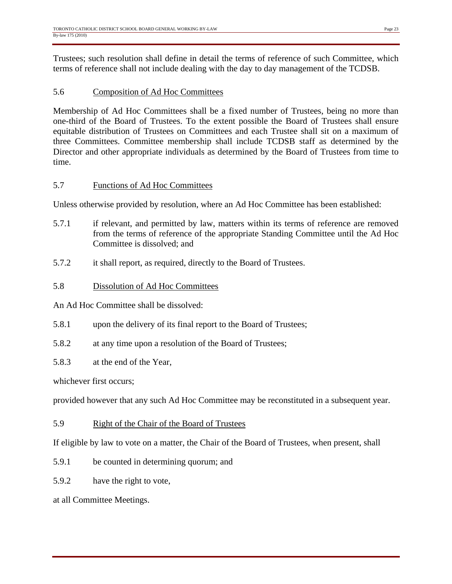Trustees; such resolution shall define in detail the terms of reference of such Committee, which terms of reference shall not include dealing with the day to day management of the TCDSB.

#### 5.6 Composition of Ad Hoc Committees

Membership of Ad Hoc Committees shall be a fixed number of Trustees, being no more than one-third of the Board of Trustees. To the extent possible the Board of Trustees shall ensure equitable distribution of Trustees on Committees and each Trustee shall sit on a maximum of three Committees. Committee membership shall include TCDSB staff as determined by the Director and other appropriate individuals as determined by the Board of Trustees from time to time.

#### 5.7 Functions of Ad Hoc Committees

Unless otherwise provided by resolution, where an Ad Hoc Committee has been established:

- 5.7.1 if relevant, and permitted by law, matters within its terms of reference are removed from the terms of reference of the appropriate Standing Committee until the Ad Hoc Committee is dissolved; and
- 5.7.2 it shall report, as required, directly to the Board of Trustees.

#### 5.8 Dissolution of Ad Hoc Committees

An Ad Hoc Committee shall be dissolved:

- 5.8.1 upon the delivery of its final report to the Board of Trustees;
- 5.8.2 at any time upon a resolution of the Board of Trustees;
- 5.8.3 at the end of the Year,

whichever first occurs;

provided however that any such Ad Hoc Committee may be reconstituted in a subsequent year.

5.9 Right of the Chair of the Board of Trustees

If eligible by law to vote on a matter, the Chair of the Board of Trustees, when present, shall

- 5.9.1 be counted in determining quorum; and
- 5.9.2 have the right to vote,

at all Committee Meetings.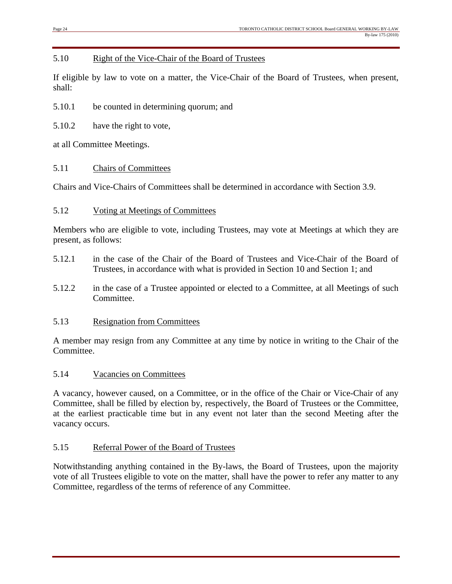#### 5.10 Right of the Vice-Chair of the Board of Trustees

If eligible by law to vote on a matter, the Vice-Chair of the Board of Trustees, when present, shall:

5.10.1 be counted in determining quorum; and

5.10.2 have the right to vote,

at all Committee Meetings.

#### 5.11 Chairs of Committees

Chairs and Vice-Chairs of Committees shall be determined in accordance with Section 3.9.

#### 5.12 Voting at Meetings of Committees

Members who are eligible to vote, including Trustees, may vote at Meetings at which they are present, as follows:

- 5.12.1 in the case of the Chair of the Board of Trustees and Vice-Chair of the Board of Trustees, in accordance with what is provided in Section 10 and Section 1; and
- 5.12.2 in the case of a Trustee appointed or elected to a Committee, at all Meetings of such Committee.

#### 5.13 Resignation from Committees

A member may resign from any Committee at any time by notice in writing to the Chair of the Committee.

#### 5.14 Vacancies on Committees

A vacancy, however caused, on a Committee, or in the office of the Chair or Vice-Chair of any Committee, shall be filled by election by, respectively, the Board of Trustees or the Committee, at the earliest practicable time but in any event not later than the second Meeting after the vacancy occurs.

#### 5.15 Referral Power of the Board of Trustees

Notwithstanding anything contained in the By-laws, the Board of Trustees, upon the majority vote of all Trustees eligible to vote on the matter, shall have the power to refer any matter to any Committee, regardless of the terms of reference of any Committee.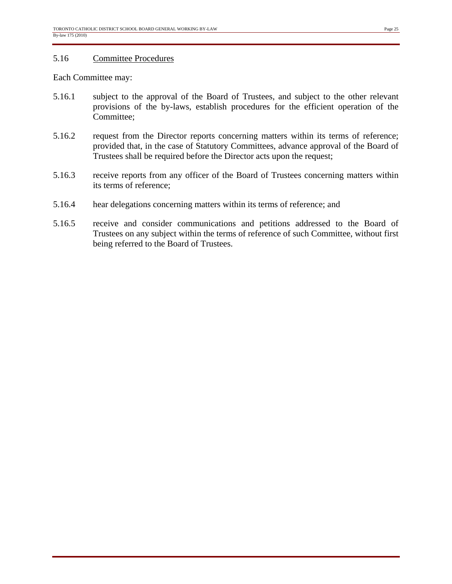#### 5.16 Committee Procedures

Each Committee may:

- 5.16.1 subject to the approval of the Board of Trustees, and subject to the other relevant provisions of the by-laws, establish procedures for the efficient operation of the Committee;
- 5.16.2 request from the Director reports concerning matters within its terms of reference; provided that, in the case of Statutory Committees, advance approval of the Board of Trustees shall be required before the Director acts upon the request;
- 5.16.3 receive reports from any officer of the Board of Trustees concerning matters within its terms of reference;
- 5.16.4 hear delegations concerning matters within its terms of reference; and
- 5.16.5 receive and consider communications and petitions addressed to the Board of Trustees on any subject within the terms of reference of such Committee, without first being referred to the Board of Trustees.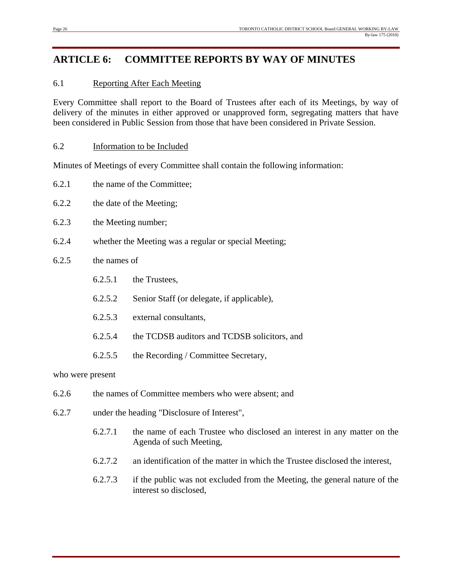## **ARTICLE 6: COMMITTEE REPORTS BY WAY OF MINUTES**

#### 6.1 Reporting After Each Meeting

Every Committee shall report to the Board of Trustees after each of its Meetings, by way of delivery of the minutes in either approved or unapproved form, segregating matters that have been considered in Public Session from those that have been considered in Private Session.

#### 6.2 Information to be Included

Minutes of Meetings of every Committee shall contain the following information:

- 6.2.1 the name of the Committee;
- 6.2.2 the date of the Meeting;
- 6.2.3 the Meeting number;
- 6.2.4 whether the Meeting was a regular or special Meeting;

#### 6.2.5 the names of

- 6.2.5.1 the Trustees,
- 6.2.5.2 Senior Staff (or delegate, if applicable),
- 6.2.5.3 external consultants,
- 6.2.5.4 the TCDSB auditors and TCDSB solicitors, and
- 6.2.5.5 the Recording / Committee Secretary,

who were present

- 6.2.6 the names of Committee members who were absent; and
- 6.2.7 under the heading "Disclosure of Interest",
	- 6.2.7.1 the name of each Trustee who disclosed an interest in any matter on the Agenda of such Meeting,
	- 6.2.7.2 an identification of the matter in which the Trustee disclosed the interest,
	- 6.2.7.3 if the public was not excluded from the Meeting, the general nature of the interest so disclosed,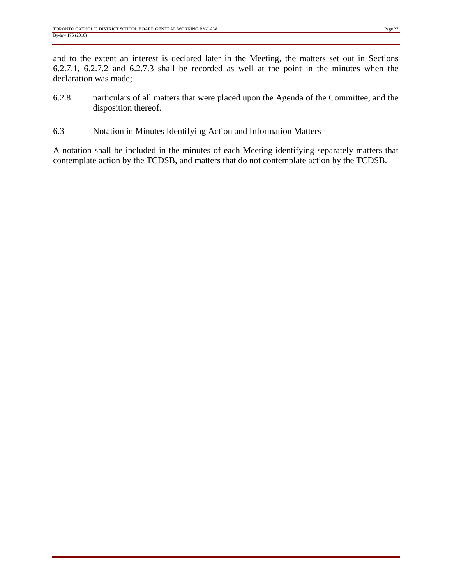and to the extent an interest is declared later in the Meeting, the matters set out in Sections 6.2.7.1, 6.2.7.2 and 6.2.7.3 shall be recorded as well at the point in the minutes when the declaration was made;

- 6.2.8 particulars of all matters that were placed upon the Agenda of the Committee, and the disposition thereof.
- 6.3 Notation in Minutes Identifying Action and Information Matters

A notation shall be included in the minutes of each Meeting identifying separately matters that contemplate action by the TCDSB, and matters that do not contemplate action by the TCDSB.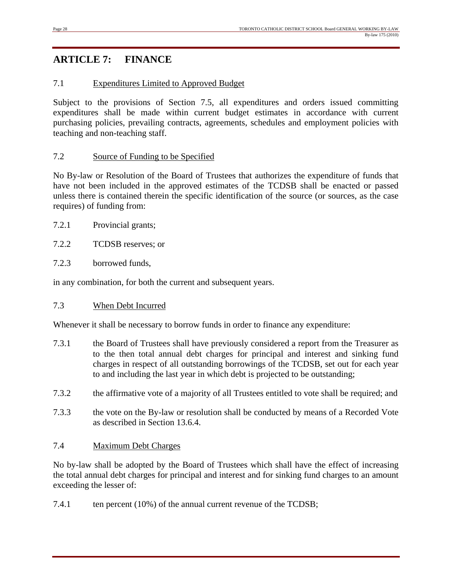## **ARTICLE 7: FINANCE**

#### 7.1 Expenditures Limited to Approved Budget

Subject to the provisions of Section 7.5, all expenditures and orders issued committing expenditures shall be made within current budget estimates in accordance with current purchasing policies, prevailing contracts, agreements, schedules and employment policies with teaching and non-teaching staff.

#### 7.2 Source of Funding to be Specified

No By-law or Resolution of the Board of Trustees that authorizes the expenditure of funds that have not been included in the approved estimates of the TCDSB shall be enacted or passed unless there is contained therein the specific identification of the source (or sources, as the case requires) of funding from:

- 7.2.1 Provincial grants;
- 7.2.2 TCDSB reserves; or
- 7.2.3 borrowed funds,

in any combination, for both the current and subsequent years.

#### 7.3 When Debt Incurred

Whenever it shall be necessary to borrow funds in order to finance any expenditure:

- 7.3.1 the Board of Trustees shall have previously considered a report from the Treasurer as to the then total annual debt charges for principal and interest and sinking fund charges in respect of all outstanding borrowings of the TCDSB, set out for each year to and including the last year in which debt is projected to be outstanding;
- 7.3.2 the affirmative vote of a majority of all Trustees entitled to vote shall be required; and
- 7.3.3 the vote on the By-law or resolution shall be conducted by means of a Recorded Vote as described in Section 13.6.4.

#### 7.4 Maximum Debt Charges

No by-law shall be adopted by the Board of Trustees which shall have the effect of increasing the total annual debt charges for principal and interest and for sinking fund charges to an amount exceeding the lesser of:

7.4.1 ten percent (10%) of the annual current revenue of the TCDSB;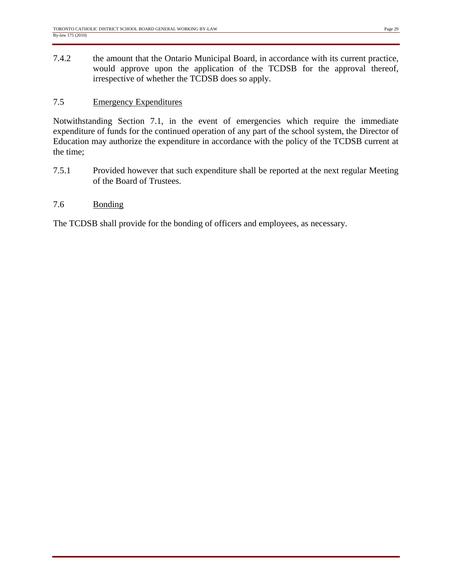7.4.2 the amount that the Ontario Municipal Board, in accordance with its current practice, would approve upon the application of the TCDSB for the approval thereof, irrespective of whether the TCDSB does so apply.

#### 7.5 Emergency Expenditures

Notwithstanding Section 7.1, in the event of emergencies which require the immediate expenditure of funds for the continued operation of any part of the school system, the Director of Education may authorize the expenditure in accordance with the policy of the TCDSB current at the time;

7.5.1 Provided however that such expenditure shall be reported at the next regular Meeting of the Board of Trustees.

#### 7.6 Bonding

The TCDSB shall provide for the bonding of officers and employees, as necessary.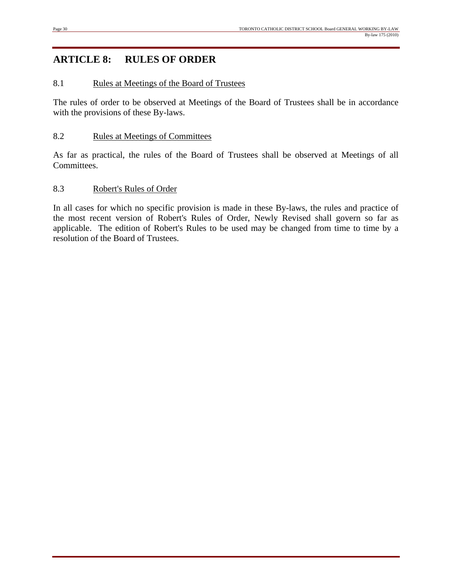## **ARTICLE 8: RULES OF ORDER**

#### 8.1 Rules at Meetings of the Board of Trustees

The rules of order to be observed at Meetings of the Board of Trustees shall be in accordance with the provisions of these By-laws.

#### 8.2 Rules at Meetings of Committees

As far as practical, the rules of the Board of Trustees shall be observed at Meetings of all Committees.

#### 8.3 Robert's Rules of Order

In all cases for which no specific provision is made in these By-laws, the rules and practice of the most recent version of Robert's Rules of Order, Newly Revised shall govern so far as applicable. The edition of Robert's Rules to be used may be changed from time to time by a resolution of the Board of Trustees.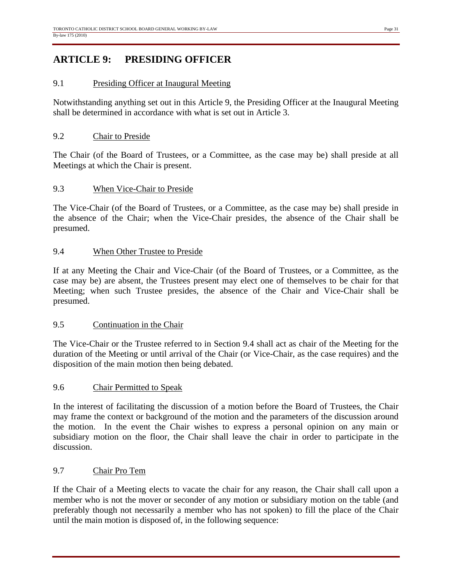## **ARTICLE 9: PRESIDING OFFICER**

#### 9.1 Presiding Officer at Inaugural Meeting

Notwithstanding anything set out in this Article 9, the Presiding Officer at the Inaugural Meeting shall be determined in accordance with what is set out in Article 3.

#### 9.2 Chair to Preside

The Chair (of the Board of Trustees, or a Committee, as the case may be) shall preside at all Meetings at which the Chair is present.

#### 9.3 When Vice-Chair to Preside

The Vice-Chair (of the Board of Trustees, or a Committee, as the case may be) shall preside in the absence of the Chair; when the Vice-Chair presides, the absence of the Chair shall be presumed.

#### 9.4 When Other Trustee to Preside

If at any Meeting the Chair and Vice-Chair (of the Board of Trustees, or a Committee, as the case may be) are absent, the Trustees present may elect one of themselves to be chair for that Meeting; when such Trustee presides, the absence of the Chair and Vice-Chair shall be presumed.

#### 9.5 Continuation in the Chair

The Vice-Chair or the Trustee referred to in Section 9.4 shall act as chair of the Meeting for the duration of the Meeting or until arrival of the Chair (or Vice-Chair, as the case requires) and the disposition of the main motion then being debated.

#### 9.6 Chair Permitted to Speak

In the interest of facilitating the discussion of a motion before the Board of Trustees, the Chair may frame the context or background of the motion and the parameters of the discussion around the motion. In the event the Chair wishes to express a personal opinion on any main or subsidiary motion on the floor, the Chair shall leave the chair in order to participate in the discussion.

#### 9.7 Chair Pro Tem

If the Chair of a Meeting elects to vacate the chair for any reason, the Chair shall call upon a member who is not the mover or seconder of any motion or subsidiary motion on the table (and preferably though not necessarily a member who has not spoken) to fill the place of the Chair until the main motion is disposed of, in the following sequence: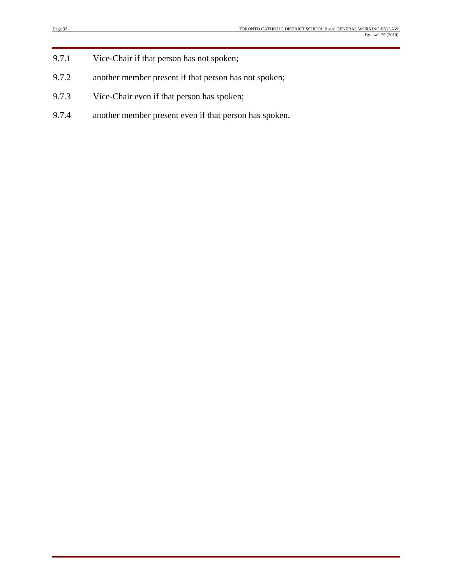- 9.7.1 Vice-Chair if that person has not spoken;
- 9.7.2 another member present if that person has not spoken;
- 9.7.3 Vice-Chair even if that person has spoken;
- 9.7.4 another member present even if that person has spoken.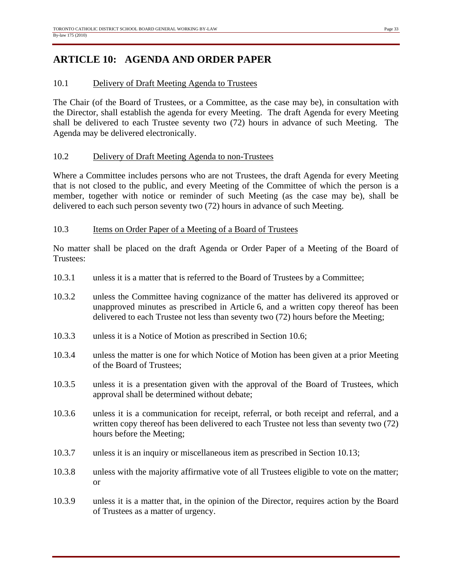## **ARTICLE 10: AGENDA AND ORDER PAPER**

#### 10.1 Delivery of Draft Meeting Agenda to Trustees

The Chair (of the Board of Trustees, or a Committee, as the case may be), in consultation with the Director, shall establish the agenda for every Meeting. The draft Agenda for every Meeting shall be delivered to each Trustee seventy two (72) hours in advance of such Meeting. The Agenda may be delivered electronically.

#### 10.2 Delivery of Draft Meeting Agenda to non-Trustees

Where a Committee includes persons who are not Trustees, the draft Agenda for every Meeting that is not closed to the public, and every Meeting of the Committee of which the person is a member, together with notice or reminder of such Meeting (as the case may be), shall be delivered to each such person seventy two (72) hours in advance of such Meeting.

#### 10.3 Items on Order Paper of a Meeting of a Board of Trustees

No matter shall be placed on the draft Agenda or Order Paper of a Meeting of the Board of Trustees:

- 10.3.1 unless it is a matter that is referred to the Board of Trustees by a Committee;
- 10.3.2 unless the Committee having cognizance of the matter has delivered its approved or unapproved minutes as prescribed in Article 6, and a written copy thereof has been delivered to each Trustee not less than seventy two (72) hours before the Meeting;
- 10.3.3 unless it is a Notice of Motion as prescribed in Section 10.6;
- 10.3.4 unless the matter is one for which Notice of Motion has been given at a prior Meeting of the Board of Trustees;
- 10.3.5 unless it is a presentation given with the approval of the Board of Trustees, which approval shall be determined without debate;
- 10.3.6 unless it is a communication for receipt, referral, or both receipt and referral, and a written copy thereof has been delivered to each Trustee not less than seventy two (72) hours before the Meeting;
- 10.3.7 unless it is an inquiry or miscellaneous item as prescribed in Section 10.13;
- 10.3.8 unless with the majority affirmative vote of all Trustees eligible to vote on the matter; or
- 10.3.9 unless it is a matter that, in the opinion of the Director, requires action by the Board of Trustees as a matter of urgency.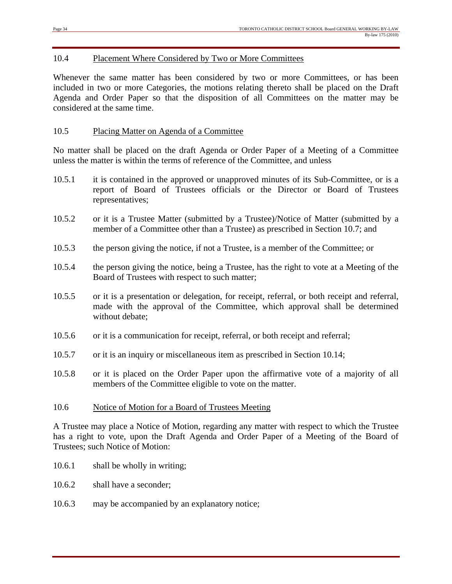#### 10.4 Placement Where Considered by Two or More Committees

Whenever the same matter has been considered by two or more Committees, or has been included in two or more Categories, the motions relating thereto shall be placed on the Draft Agenda and Order Paper so that the disposition of all Committees on the matter may be considered at the same time.

#### 10.5 Placing Matter on Agenda of a Committee

No matter shall be placed on the draft Agenda or Order Paper of a Meeting of a Committee unless the matter is within the terms of reference of the Committee, and unless

- 10.5.1 it is contained in the approved or unapproved minutes of its Sub-Committee, or is a report of Board of Trustees officials or the Director or Board of Trustees representatives;
- 10.5.2 or it is a Trustee Matter (submitted by a Trustee)/Notice of Matter (submitted by a member of a Committee other than a Trustee) as prescribed in Section 10.7; and
- 10.5.3 the person giving the notice, if not a Trustee, is a member of the Committee; or
- 10.5.4 the person giving the notice, being a Trustee, has the right to vote at a Meeting of the Board of Trustees with respect to such matter;
- 10.5.5 or it is a presentation or delegation, for receipt, referral, or both receipt and referral, made with the approval of the Committee, which approval shall be determined without debate;
- 10.5.6 or it is a communication for receipt, referral, or both receipt and referral;
- 10.5.7 or it is an inquiry or miscellaneous item as prescribed in Section 10.14;
- 10.5.8 or it is placed on the Order Paper upon the affirmative vote of a majority of all members of the Committee eligible to vote on the matter.

#### 10.6 Notice of Motion for a Board of Trustees Meeting

A Trustee may place a Notice of Motion, regarding any matter with respect to which the Trustee has a right to vote, upon the Draft Agenda and Order Paper of a Meeting of the Board of Trustees; such Notice of Motion:

- 10.6.1 shall be wholly in writing;
- 10.6.2 shall have a seconder:
- 10.6.3 may be accompanied by an explanatory notice;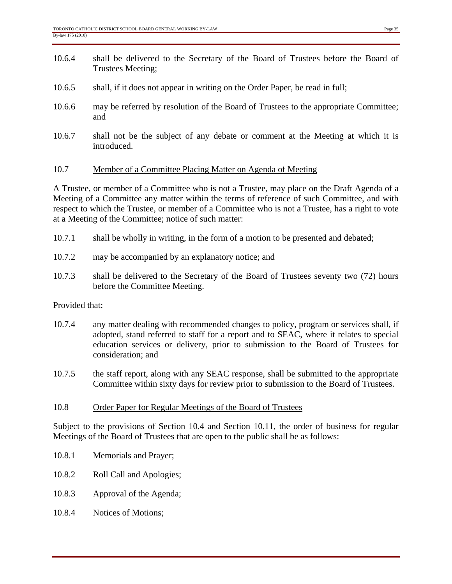- 10.6.4 shall be delivered to the Secretary of the Board of Trustees before the Board of Trustees Meeting;
- 10.6.5 shall, if it does not appear in writing on the Order Paper, be read in full;
- 10.6.6 may be referred by resolution of the Board of Trustees to the appropriate Committee; and
- 10.6.7 shall not be the subject of any debate or comment at the Meeting at which it is introduced.

#### 10.7 Member of a Committee Placing Matter on Agenda of Meeting

A Trustee, or member of a Committee who is not a Trustee, may place on the Draft Agenda of a Meeting of a Committee any matter within the terms of reference of such Committee, and with respect to which the Trustee, or member of a Committee who is not a Trustee, has a right to vote at a Meeting of the Committee; notice of such matter:

- 10.7.1 shall be wholly in writing, in the form of a motion to be presented and debated;
- 10.7.2 may be accompanied by an explanatory notice; and
- 10.7.3 shall be delivered to the Secretary of the Board of Trustees seventy two (72) hours before the Committee Meeting.

#### Provided that:

- 10.7.4 any matter dealing with recommended changes to policy, program or services shall, if adopted, stand referred to staff for a report and to SEAC, where it relates to special education services or delivery, prior to submission to the Board of Trustees for consideration; and
- 10.7.5 the staff report, along with any SEAC response, shall be submitted to the appropriate Committee within sixty days for review prior to submission to the Board of Trustees.

#### 10.8 Order Paper for Regular Meetings of the Board of Trustees

Subject to the provisions of Section 10.4 and Section 10.11, the order of business for regular Meetings of the Board of Trustees that are open to the public shall be as follows:

- 10.8.1 Memorials and Prayer;
- 10.8.2 Roll Call and Apologies;
- 10.8.3 Approval of the Agenda;
- 10.8.4 Notices of Motions;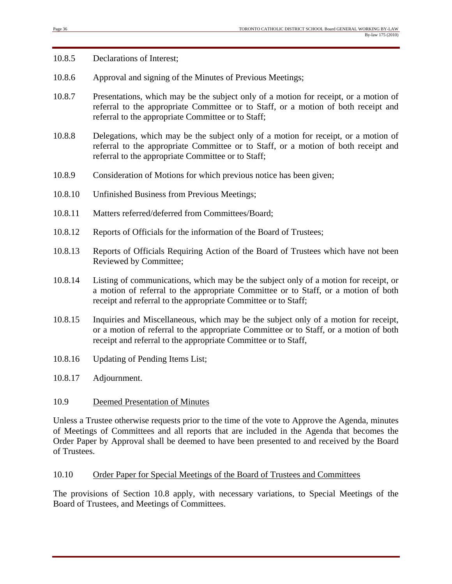10.8.5 Declarations of Interest;

- 10.8.6 Approval and signing of the Minutes of Previous Meetings;
- 10.8.7 Presentations, which may be the subject only of a motion for receipt, or a motion of referral to the appropriate Committee or to Staff, or a motion of both receipt and referral to the appropriate Committee or to Staff;
- 10.8.8 Delegations, which may be the subject only of a motion for receipt, or a motion of referral to the appropriate Committee or to Staff, or a motion of both receipt and referral to the appropriate Committee or to Staff;
- 10.8.9 Consideration of Motions for which previous notice has been given;
- 10.8.10 Unfinished Business from Previous Meetings;
- 10.8.11 Matters referred/deferred from Committees/Board;
- 10.8.12 Reports of Officials for the information of the Board of Trustees;
- 10.8.13 Reports of Officials Requiring Action of the Board of Trustees which have not been Reviewed by Committee;
- 10.8.14 Listing of communications, which may be the subject only of a motion for receipt, or a motion of referral to the appropriate Committee or to Staff, or a motion of both receipt and referral to the appropriate Committee or to Staff;
- 10.8.15 Inquiries and Miscellaneous, which may be the subject only of a motion for receipt, or a motion of referral to the appropriate Committee or to Staff, or a motion of both receipt and referral to the appropriate Committee or to Staff,
- 10.8.16 Updating of Pending Items List;
- 10.8.17 Adjournment.

#### 10.9 Deemed Presentation of Minutes

Unless a Trustee otherwise requests prior to the time of the vote to Approve the Agenda, minutes of Meetings of Committees and all reports that are included in the Agenda that becomes the Order Paper by Approval shall be deemed to have been presented to and received by the Board of Trustees.

#### 10.10 Order Paper for Special Meetings of the Board of Trustees and Committees

The provisions of Section 10.8 apply, with necessary variations, to Special Meetings of the Board of Trustees, and Meetings of Committees.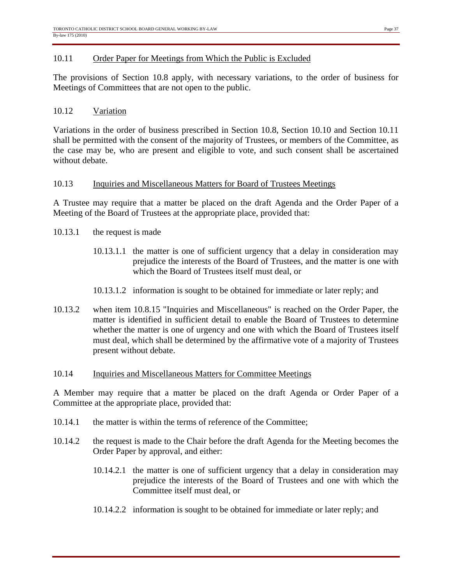#### 10.11 Order Paper for Meetings from Which the Public is Excluded

The provisions of Section 10.8 apply, with necessary variations, to the order of business for Meetings of Committees that are not open to the public.

#### 10.12 Variation

Variations in the order of business prescribed in Section 10.8, Section 10.10 and Section 10.11 shall be permitted with the consent of the majority of Trustees, or members of the Committee, as the case may be, who are present and eligible to vote, and such consent shall be ascertained without debate.

#### 10.13 Inquiries and Miscellaneous Matters for Board of Trustees Meetings

A Trustee may require that a matter be placed on the draft Agenda and the Order Paper of a Meeting of the Board of Trustees at the appropriate place, provided that:

- 10.13.1 the request is made
	- 10.13.1.1 the matter is one of sufficient urgency that a delay in consideration may prejudice the interests of the Board of Trustees, and the matter is one with which the Board of Trustees itself must deal, or
	- 10.13.1.2 information is sought to be obtained for immediate or later reply; and
- 10.13.2 when item 10.8.15 "Inquiries and Miscellaneous" is reached on the Order Paper, the matter is identified in sufficient detail to enable the Board of Trustees to determine whether the matter is one of urgency and one with which the Board of Trustees itself must deal, which shall be determined by the affirmative vote of a majority of Trustees present without debate.

#### 10.14 Inquiries and Miscellaneous Matters for Committee Meetings

A Member may require that a matter be placed on the draft Agenda or Order Paper of a Committee at the appropriate place, provided that:

- 10.14.1 the matter is within the terms of reference of the Committee;
- 10.14.2 the request is made to the Chair before the draft Agenda for the Meeting becomes the Order Paper by approval, and either:
	- 10.14.2.1 the matter is one of sufficient urgency that a delay in consideration may prejudice the interests of the Board of Trustees and one with which the Committee itself must deal, or
	- 10.14.2.2 information is sought to be obtained for immediate or later reply; and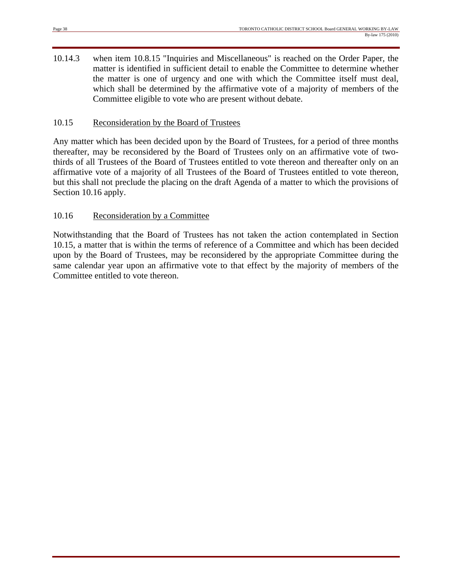10.14.3 when item 10.8.15 "Inquiries and Miscellaneous" is reached on the Order Paper, the matter is identified in sufficient detail to enable the Committee to determine whether the matter is one of urgency and one with which the Committee itself must deal, which shall be determined by the affirmative vote of a majority of members of the Committee eligible to vote who are present without debate.

#### 10.15 Reconsideration by the Board of Trustees

Any matter which has been decided upon by the Board of Trustees, for a period of three months thereafter, may be reconsidered by the Board of Trustees only on an affirmative vote of twothirds of all Trustees of the Board of Trustees entitled to vote thereon and thereafter only on an affirmative vote of a majority of all Trustees of the Board of Trustees entitled to vote thereon, but this shall not preclude the placing on the draft Agenda of a matter to which the provisions of Section 10.16 apply.

#### 10.16 Reconsideration by a Committee

Notwithstanding that the Board of Trustees has not taken the action contemplated in Section 10.15, a matter that is within the terms of reference of a Committee and which has been decided upon by the Board of Trustees, may be reconsidered by the appropriate Committee during the same calendar year upon an affirmative vote to that effect by the majority of members of the Committee entitled to vote thereon.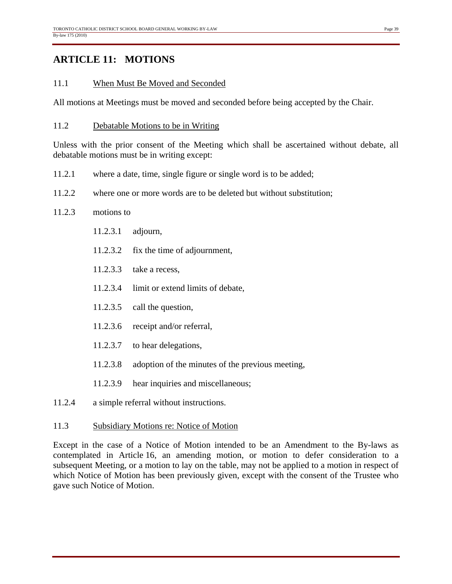## **ARTICLE 11: MOTIONS**

#### 11.1 When Must Be Moved and Seconded

All motions at Meetings must be moved and seconded before being accepted by the Chair.

#### 11.2 Debatable Motions to be in Writing

Unless with the prior consent of the Meeting which shall be ascertained without debate, all debatable motions must be in writing except:

- 11.2.1 where a date, time, single figure or single word is to be added;
- 11.2.2 where one or more words are to be deleted but without substitution;

#### 11.2.3 motions to

- 11.2.3.1 adjourn,
- 11.2.3.2 fix the time of adjournment,
- 11.2.3.3 take a recess,
- 11.2.3.4 limit or extend limits of debate,
- 11.2.3.5 call the question,
- 11.2.3.6 receipt and/or referral,
- 11.2.3.7 to hear delegations,
- 11.2.3.8 adoption of the minutes of the previous meeting,
- 11.2.3.9 hear inquiries and miscellaneous;
- 11.2.4 a simple referral without instructions.

#### 11.3 Subsidiary Motions re: Notice of Motion

Except in the case of a Notice of Motion intended to be an Amendment to the By-laws as contemplated in Article 16, an amending motion, or motion to defer consideration to a subsequent Meeting, or a motion to lay on the table, may not be applied to a motion in respect of which Notice of Motion has been previously given, except with the consent of the Trustee who gave such Notice of Motion.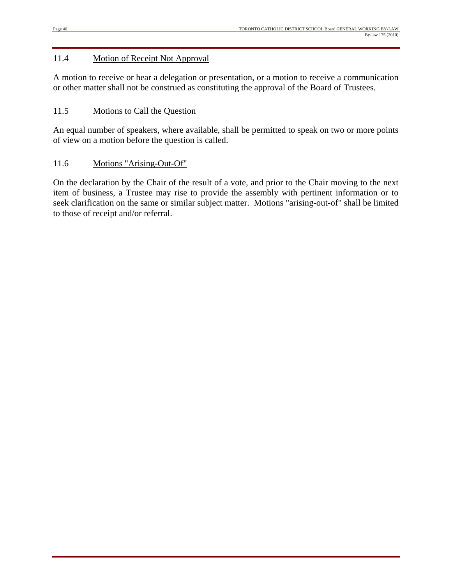#### 11.4 Motion of Receipt Not Approval

A motion to receive or hear a delegation or presentation, or a motion to receive a communication or other matter shall not be construed as constituting the approval of the Board of Trustees.

#### 11.5 Motions to Call the Question

An equal number of speakers, where available, shall be permitted to speak on two or more points of view on a motion before the question is called.

#### 11.6 Motions "Arising-Out-Of"

On the declaration by the Chair of the result of a vote, and prior to the Chair moving to the next item of business, a Trustee may rise to provide the assembly with pertinent information or to seek clarification on the same or similar subject matter. Motions "arising-out-of" shall be limited to those of receipt and/or referral.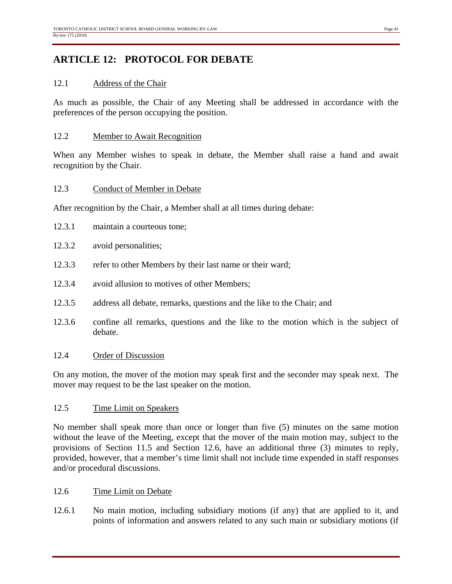## **ARTICLE 12: PROTOCOL FOR DEBATE**

#### 12.1 Address of the Chair

As much as possible, the Chair of any Meeting shall be addressed in accordance with the preferences of the person occupying the position.

#### 12.2 Member to Await Recognition

When any Member wishes to speak in debate, the Member shall raise a hand and await recognition by the Chair.

#### 12.3 Conduct of Member in Debate

After recognition by the Chair, a Member shall at all times during debate:

- 12.3.1 maintain a courteous tone;
- 12.3.2 avoid personalities;
- 12.3.3 refer to other Members by their last name or their ward;
- 12.3.4 avoid allusion to motives of other Members;
- 12.3.5 address all debate, remarks, questions and the like to the Chair; and
- 12.3.6 confine all remarks, questions and the like to the motion which is the subject of debate.

#### 12.4 Order of Discussion

On any motion, the mover of the motion may speak first and the seconder may speak next. The mover may request to be the last speaker on the motion.

#### 12.5 Time Limit on Speakers

No member shall speak more than once or longer than five (5) minutes on the same motion without the leave of the Meeting, except that the mover of the main motion may, subject to the provisions of Section 11.5 and Section 12.6, have an additional three (3) minutes to reply, provided, however, that a member's time limit shall not include time expended in staff responses and/or procedural discussions.

#### 12.6 Time Limit on Debate

12.6.1 No main motion, including subsidiary motions (if any) that are applied to it, and points of information and answers related to any such main or subsidiary motions (if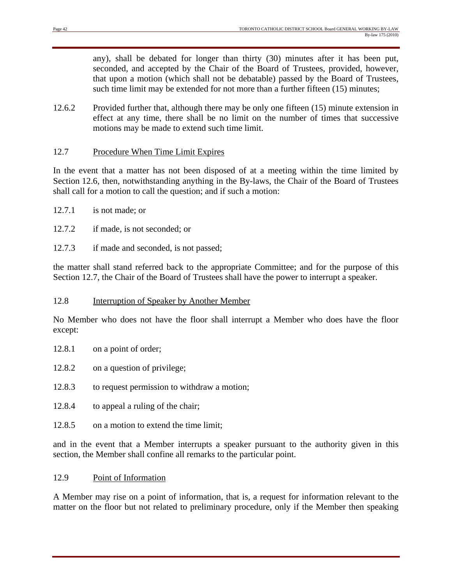any), shall be debated for longer than thirty (30) minutes after it has been put, seconded, and accepted by the Chair of the Board of Trustees, provided, however, that upon a motion (which shall not be debatable) passed by the Board of Trustees, such time limit may be extended for not more than a further fifteen (15) minutes;

12.6.2 Provided further that, although there may be only one fifteen (15) minute extension in effect at any time, there shall be no limit on the number of times that successive motions may be made to extend such time limit.

#### 12.7 Procedure When Time Limit Expires

In the event that a matter has not been disposed of at a meeting within the time limited by Section 12.6, then, notwithstanding anything in the By-laws, the Chair of the Board of Trustees shall call for a motion to call the question; and if such a motion:

- 12.7.1 is not made; or
- 12.7.2 if made, is not seconded; or
- 12.7.3 if made and seconded, is not passed;

the matter shall stand referred back to the appropriate Committee; and for the purpose of this Section 12.7, the Chair of the Board of Trustees shall have the power to interrupt a speaker.

#### 12.8 Interruption of Speaker by Another Member

No Member who does not have the floor shall interrupt a Member who does have the floor except:

- 12.8.1 on a point of order;
- 12.8.2 on a question of privilege;
- 12.8.3 to request permission to withdraw a motion;
- 12.8.4 to appeal a ruling of the chair;
- 12.8.5 on a motion to extend the time limit:

and in the event that a Member interrupts a speaker pursuant to the authority given in this section, the Member shall confine all remarks to the particular point.

#### 12.9 Point of Information

A Member may rise on a point of information, that is, a request for information relevant to the matter on the floor but not related to preliminary procedure, only if the Member then speaking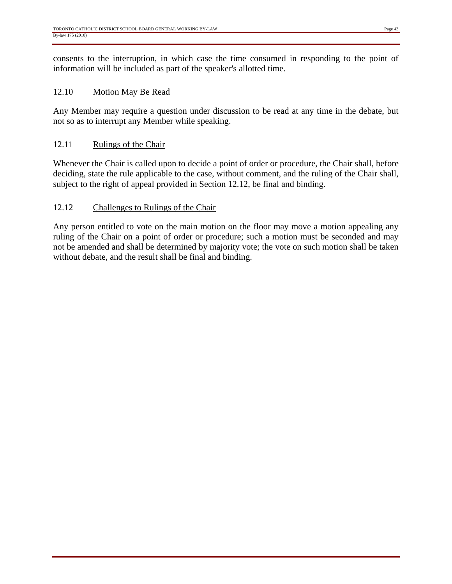consents to the interruption, in which case the time consumed in responding to the point of information will be included as part of the speaker's allotted time.

#### 12.10 Motion May Be Read

Any Member may require a question under discussion to be read at any time in the debate, but not so as to interrupt any Member while speaking.

#### 12.11 Rulings of the Chair

Whenever the Chair is called upon to decide a point of order or procedure, the Chair shall, before deciding, state the rule applicable to the case, without comment, and the ruling of the Chair shall, subject to the right of appeal provided in Section 12.12, be final and binding.

#### 12.12 Challenges to Rulings of the Chair

Any person entitled to vote on the main motion on the floor may move a motion appealing any ruling of the Chair on a point of order or procedure; such a motion must be seconded and may not be amended and shall be determined by majority vote; the vote on such motion shall be taken without debate, and the result shall be final and binding.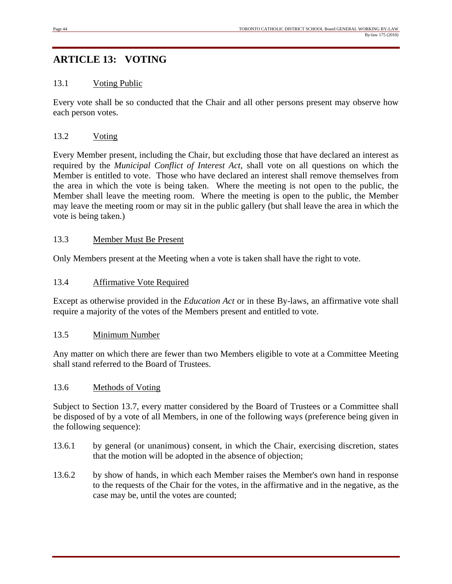## **ARTICLE 13: VOTING**

#### 13.1 Voting Public

Every vote shall be so conducted that the Chair and all other persons present may observe how each person votes.

#### 13.2 Voting

Every Member present, including the Chair, but excluding those that have declared an interest as required by the *Municipal Conflict of Interest Act*, shall vote on all questions on which the Member is entitled to vote. Those who have declared an interest shall remove themselves from the area in which the vote is being taken. Where the meeting is not open to the public, the Member shall leave the meeting room. Where the meeting is open to the public, the Member may leave the meeting room or may sit in the public gallery (but shall leave the area in which the vote is being taken.)

#### 13.3 Member Must Be Present

Only Members present at the Meeting when a vote is taken shall have the right to vote.

#### 13.4 Affirmative Vote Required

Except as otherwise provided in the *Education Act* or in these By-laws, an affirmative vote shall require a majority of the votes of the Members present and entitled to vote.

#### 13.5 Minimum Number

Any matter on which there are fewer than two Members eligible to vote at a Committee Meeting shall stand referred to the Board of Trustees.

#### 13.6 Methods of Voting

Subject to Section 13.7, every matter considered by the Board of Trustees or a Committee shall be disposed of by a vote of all Members, in one of the following ways (preference being given in the following sequence):

- 13.6.1 by general (or unanimous) consent, in which the Chair, exercising discretion, states that the motion will be adopted in the absence of objection;
- 13.6.2 by show of hands, in which each Member raises the Member's own hand in response to the requests of the Chair for the votes, in the affirmative and in the negative, as the case may be, until the votes are counted;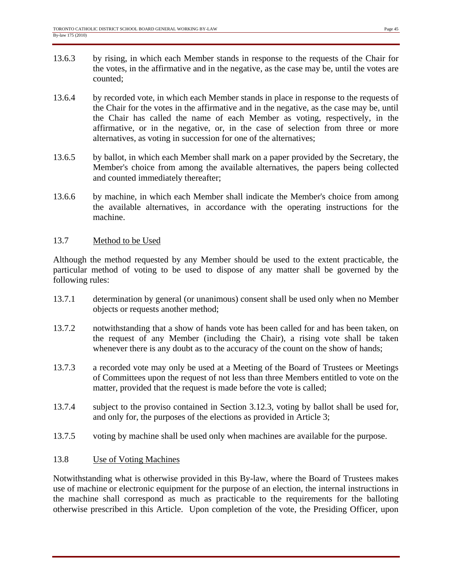- 13.6.3 by rising, in which each Member stands in response to the requests of the Chair for the votes, in the affirmative and in the negative, as the case may be, until the votes are counted;
- 13.6.4 by recorded vote, in which each Member stands in place in response to the requests of the Chair for the votes in the affirmative and in the negative, as the case may be, until the Chair has called the name of each Member as voting, respectively, in the affirmative, or in the negative, or, in the case of selection from three or more alternatives, as voting in succession for one of the alternatives;
- 13.6.5 by ballot, in which each Member shall mark on a paper provided by the Secretary, the Member's choice from among the available alternatives, the papers being collected and counted immediately thereafter;
- 13.6.6 by machine, in which each Member shall indicate the Member's choice from among the available alternatives, in accordance with the operating instructions for the machine.

#### 13.7 Method to be Used

Although the method requested by any Member should be used to the extent practicable, the particular method of voting to be used to dispose of any matter shall be governed by the following rules:

- 13.7.1 determination by general (or unanimous) consent shall be used only when no Member objects or requests another method;
- 13.7.2 notwithstanding that a show of hands vote has been called for and has been taken, on the request of any Member (including the Chair), a rising vote shall be taken whenever there is any doubt as to the accuracy of the count on the show of hands;
- 13.7.3 a recorded vote may only be used at a Meeting of the Board of Trustees or Meetings of Committees upon the request of not less than three Members entitled to vote on the matter, provided that the request is made before the vote is called;
- 13.7.4 subject to the proviso contained in Section 3.12.3, voting by ballot shall be used for, and only for, the purposes of the elections as provided in Article 3;
- 13.7.5 voting by machine shall be used only when machines are available for the purpose.

#### 13.8 Use of Voting Machines

Notwithstanding what is otherwise provided in this By-law, where the Board of Trustees makes use of machine or electronic equipment for the purpose of an election, the internal instructions in the machine shall correspond as much as practicable to the requirements for the balloting otherwise prescribed in this Article. Upon completion of the vote, the Presiding Officer, upon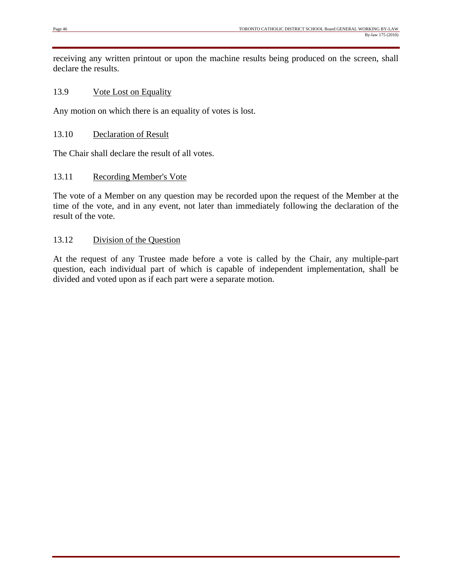receiving any written printout or upon the machine results being produced on the screen, shall declare the results.

#### 13.9 Vote Lost on Equality

Any motion on which there is an equality of votes is lost.

#### 13.10 Declaration of Result

The Chair shall declare the result of all votes.

#### 13.11 Recording Member's Vote

The vote of a Member on any question may be recorded upon the request of the Member at the time of the vote, and in any event, not later than immediately following the declaration of the result of the vote.

#### 13.12 Division of the Question

At the request of any Trustee made before a vote is called by the Chair, any multiple-part question, each individual part of which is capable of independent implementation, shall be divided and voted upon as if each part were a separate motion.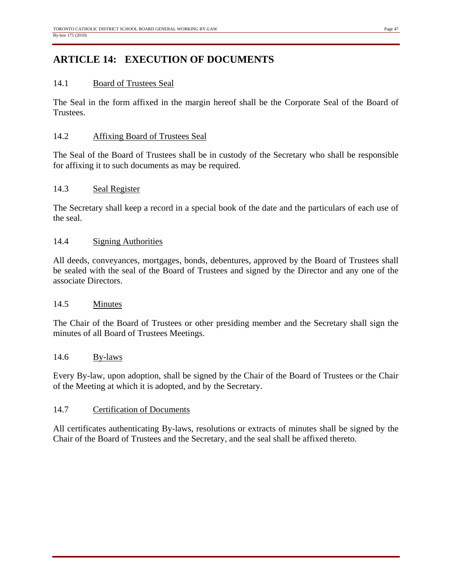## **ARTICLE 14: EXECUTION OF DOCUMENTS**

#### 14.1 Board of Trustees Seal

The Seal in the form affixed in the margin hereof shall be the Corporate Seal of the Board of Trustees.

#### 14.2 Affixing Board of Trustees Seal

The Seal of the Board of Trustees shall be in custody of the Secretary who shall be responsible for affixing it to such documents as may be required.

#### 14.3 Seal Register

The Secretary shall keep a record in a special book of the date and the particulars of each use of the seal.

#### 14.4 Signing Authorities

All deeds, conveyances, mortgages, bonds, debentures, approved by the Board of Trustees shall be sealed with the seal of the Board of Trustees and signed by the Director and any one of the associate Directors.

#### 14.5 Minutes

The Chair of the Board of Trustees or other presiding member and the Secretary shall sign the minutes of all Board of Trustees Meetings.

#### 14.6 By-laws

Every By-law, upon adoption, shall be signed by the Chair of the Board of Trustees or the Chair of the Meeting at which it is adopted, and by the Secretary.

#### 14.7 Certification of Documents

All certificates authenticating By-laws, resolutions or extracts of minutes shall be signed by the Chair of the Board of Trustees and the Secretary, and the seal shall be affixed thereto.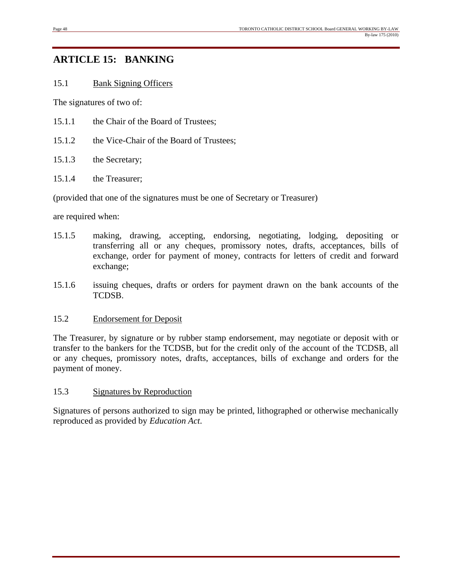## **ARTICLE 15: BANKING**

#### 15.1 Bank Signing Officers

The signatures of two of:

- 15.1.1 the Chair of the Board of Trustees;
- 15.1.2 the Vice-Chair of the Board of Trustees;
- 15.1.3 the Secretary;
- 15.1.4 the Treasurer;

(provided that one of the signatures must be one of Secretary or Treasurer)

are required when:

- 15.1.5 making, drawing, accepting, endorsing, negotiating, lodging, depositing or transferring all or any cheques, promissory notes, drafts, acceptances, bills of exchange, order for payment of money, contracts for letters of credit and forward exchange;
- 15.1.6 issuing cheques, drafts or orders for payment drawn on the bank accounts of the TCDSB.

#### 15.2 Endorsement for Deposit

The Treasurer, by signature or by rubber stamp endorsement, may negotiate or deposit with or transfer to the bankers for the TCDSB, but for the credit only of the account of the TCDSB, all or any cheques, promissory notes, drafts, acceptances, bills of exchange and orders for the payment of money.

#### 15.3 Signatures by Reproduction

Signatures of persons authorized to sign may be printed, lithographed or otherwise mechanically reproduced as provided by *Education Act*.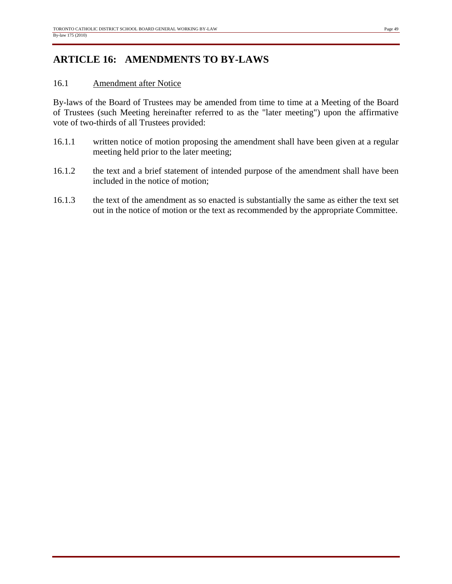## **ARTICLE 16: AMENDMENTS TO BY-LAWS**

#### 16.1 Amendment after Notice

By-laws of the Board of Trustees may be amended from time to time at a Meeting of the Board of Trustees (such Meeting hereinafter referred to as the "later meeting") upon the affirmative vote of two-thirds of all Trustees provided:

- 16.1.1 written notice of motion proposing the amendment shall have been given at a regular meeting held prior to the later meeting;
- 16.1.2 the text and a brief statement of intended purpose of the amendment shall have been included in the notice of motion;
- 16.1.3 the text of the amendment as so enacted is substantially the same as either the text set out in the notice of motion or the text as recommended by the appropriate Committee.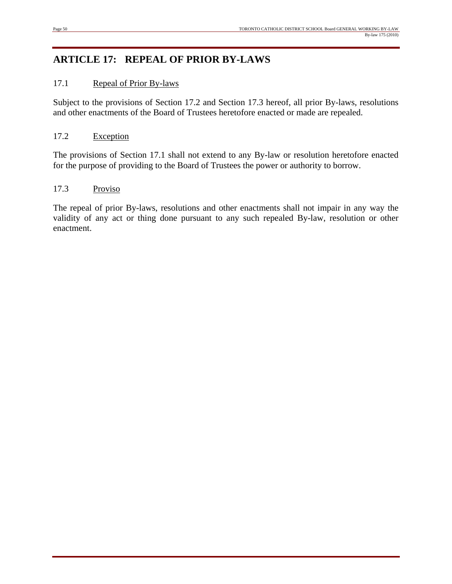## **ARTICLE 17: REPEAL OF PRIOR BY-LAWS**

#### 17.1 Repeal of Prior By-laws

Subject to the provisions of Section 17.2 and Section 17.3 hereof, all prior By-laws, resolutions and other enactments of the Board of Trustees heretofore enacted or made are repealed.

#### 17.2 Exception

The provisions of Section 17.1 shall not extend to any By-law or resolution heretofore enacted for the purpose of providing to the Board of Trustees the power or authority to borrow.

#### 17.3 Proviso

The repeal of prior By-laws, resolutions and other enactments shall not impair in any way the validity of any act or thing done pursuant to any such repealed By-law, resolution or other enactment.